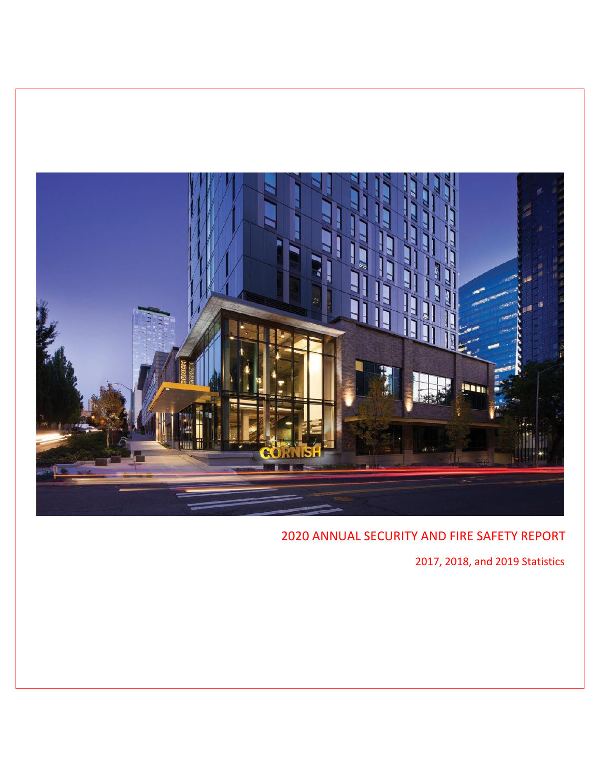

7, 2018, and 2019 Statistics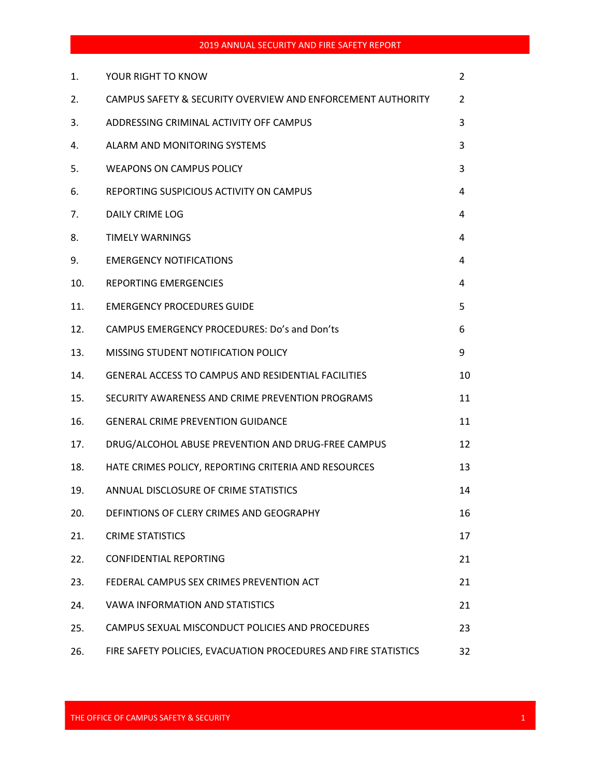| 1.  | YOUR RIGHT TO KNOW                                              | $\overline{2}$ |
|-----|-----------------------------------------------------------------|----------------|
| 2.  | CAMPUS SAFETY & SECURITY OVERVIEW AND ENFORCEMENT AUTHORITY     | 2              |
| 3.  | ADDRESSING CRIMINAL ACTIVITY OFF CAMPUS                         | 3              |
| 4.  | ALARM AND MONITORING SYSTEMS                                    | 3              |
| 5.  | <b>WEAPONS ON CAMPUS POLICY</b>                                 | 3              |
| 6.  | REPORTING SUSPICIOUS ACTIVITY ON CAMPUS                         | 4              |
| 7.  | DAILY CRIME LOG                                                 | 4              |
| 8.  | <b>TIMELY WARNINGS</b>                                          | 4              |
| 9.  | <b>EMERGENCY NOTIFICATIONS</b>                                  | 4              |
| 10. | <b>REPORTING EMERGENCIES</b>                                    | 4              |
| 11. | <b>EMERGENCY PROCEDURES GUIDE</b>                               | 5              |
| 12. | CAMPUS EMERGENCY PROCEDURES: Do's and Don'ts                    | 6              |
| 13. | MISSING STUDENT NOTIFICATION POLICY                             | 9              |
| 14. | GENERAL ACCESS TO CAMPUS AND RESIDENTIAL FACILITIES             | 10             |
| 15. | SECURITY AWARENESS AND CRIME PREVENTION PROGRAMS                | 11             |
| 16. | <b>GENERAL CRIME PREVENTION GUIDANCE</b>                        | 11             |
| 17. | DRUG/ALCOHOL ABUSE PREVENTION AND DRUG-FREE CAMPUS              | 12             |
| 18. | HATE CRIMES POLICY, REPORTING CRITERIA AND RESOURCES            | 13             |
| 19. | ANNUAL DISCLOSURE OF CRIME STATISTICS                           | 14             |
| 20. | DEFINTIONS OF CLERY CRIMES AND GEOGRAPHY                        | 16             |
| 21. | <b>CRIME STATISTICS</b>                                         | 17             |
| 22. | <b>CONFIDENTIAL REPORTING</b>                                   | 21             |
| 23. | FEDERAL CAMPUS SEX CRIMES PREVENTION ACT                        | 21             |
| 24. | <b>VAWA INFORMATION AND STATISTICS</b>                          | 21             |
| 25. | CAMPUS SEXUAL MISCONDUCT POLICIES AND PROCEDURES                | 23             |
| 26. | FIRE SAFETY POLICIES, EVACUATION PROCEDURES AND FIRE STATISTICS | 32             |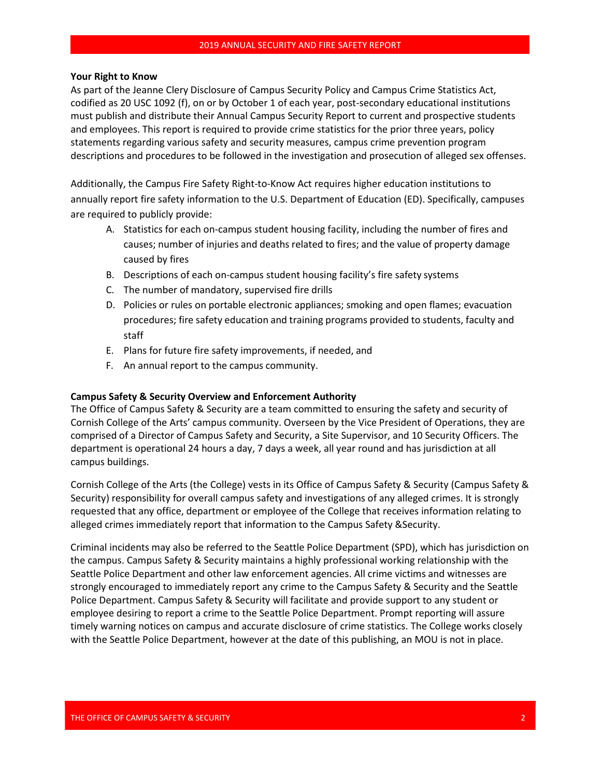#### **Your Right to Know**

As part of the Jeanne Clery Disclosure of Campus Security Policy and Campus Crime Statistics Act, codified as 20 USC 1092 (f), on or by October 1 of each year, post-secondary educational institutions must publish and distribute their Annual Security and Fire Safety Report to current and prospective students and employees. This report is required to provide crime statistics for the prior three years, policy statements regarding various safety and security measures, campus crime prevention program descriptions and procedures to be followed in the investigation and prosecution of alleged sex offenses.

Additionally, the Campus Fire Safety Right-to-Know Act requires higher education institutions to annually report fire safety information to the U.S. Department of Education (ED). Specifically, campuses are required to publicly provide:

- A. Statistics for each on-campus student housing facility, including the number of fires and causes; number of injuries and deaths related to fires; and the value of property damage caused by fires
- B. Descriptions of each on-campus student housing facility's fire safety systems
- C. The number of mandatory, supervised fire drills
- D. Policies or rules on portable electronic appliances; smoking and open flames; evacuation procedures; fire safety education and training programs provided to students, faculty and staff
- E. Plans for future fire safety improvements, if needed, and
- F. An annual report to the campus community.

#### **Campus Safety & Security Overview and Enforcement Authority**

The Office of Campus Safety & Security are a team committed to ensuring the safety and security of Cornish College of the Arts' campus community. Overseen by the Vice President of Operations, they are comprised of a Director of Campus Safety and Security, a Site Supervisor, and 10 Security Officers. The department is operational 24 hours a day, 7 days a week, all year round and has jurisdiction at all campus buildings.

Cornish College of the Arts (the College) vests in its Office of Campus Safety & Security (Campus Safety & Security) responsibility for overall campus safety and investigations of any alleged crimes. It is strongly requested that any office, department or employee of the College that receives information relating to alleged crimes immediately report that information to the Campus Safety & Security.

Criminal incidents may also be referred to the Seattle Police Department (SPD), which has jurisdiction on the campus. Campus Safety & Security maintains a highly professional working relationship with the Seattle Police Department and other law enforcement agencies. All crime victims and witnesses are strongly encouraged to immediately report any crime to the Campus Safety & Security and the Seattle Police Department. Campus Safety & Security will facilitate and provide support to any student or employee desiring to report a crime to the Seattle Police Department. Prompt reporting will assure timely warning notices on campus and accurate disclosure of crime statistics. The College works closely with the Seattle Police Department, however, as of the date of this publishing, an MOU is not in place.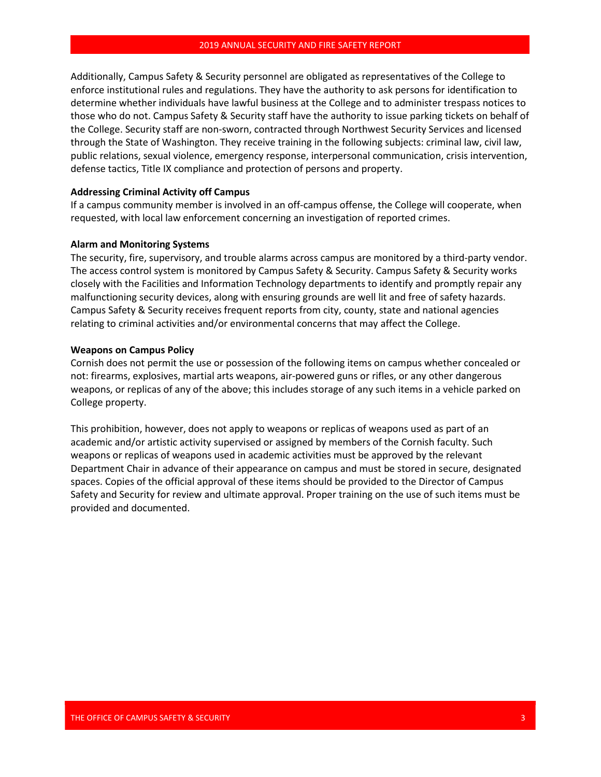Additionally, Campus Safety & Security personnel are obligated as representatives of the College to enforce institutional rules and regulations. They have the authority to ask persons for identification to determine whether individuals have lawful business at the College and to administer trespass notices to those who do not. Campus Safety & Security staff have the authority to issue parking tickets on behalf of the College. Security staff are non-sworn, contracted through Northwest Security Services and licensed through the State of Washington. They receive training in the following subjects: criminal law, civil law, public relations, sexual violence, emergency response, interpersonal communication, crisis intervention, defense tactics, Title IX compliance and protection of persons and property.

#### **Addressing Criminal Activity off Campus**

If a campus community member is involved in an off-campus offense, the College will cooperate, when requested, with local law enforcement concerning an investigation of reported crimes.

#### **Alarm and Monitoring Systems**

The security, fire, supervisory, and trouble alarms across campus are monitored by a third-party vendor. The access control system is monitored by Campus Safety & Security. Campus Safety & Security works closely with the Facilities and Information Technology departments to identify and promptly repair any malfunctioning security devices, along with ensuring the grounds are well lit and free of safety hazards. Campus Safety & Security receives frequent reports from city, county, state and national agencies relating to criminal activities and/or environmental concerns that may affect the College.

#### **Weapons on Campus Policy**

Cornish does not permit the use or possession of the following items on campus whether concealed or not: firearms, explosives, martial arts weapons, air-powered guns or rifles, or any other dangerous weapons, or replicas of any of the above. This includes storage of any such items in a vehicle parked on College property.

This prohibition, however, does not apply to weapons or replicas of weapons used as part of an academic and/or artistic activity supervised or assigned by members of the Cornish faculty. Such weapons or replicas of weapons used in academic activities must be approved by the relevant Department Chair in advance of their appearance on campus and must be stored in secure, designated spaces. Copies of the official approval of these items should be provided to the Director of Campus Safety and Security for review and ultimate approval. Proper training on the use of such items must be provided and documented.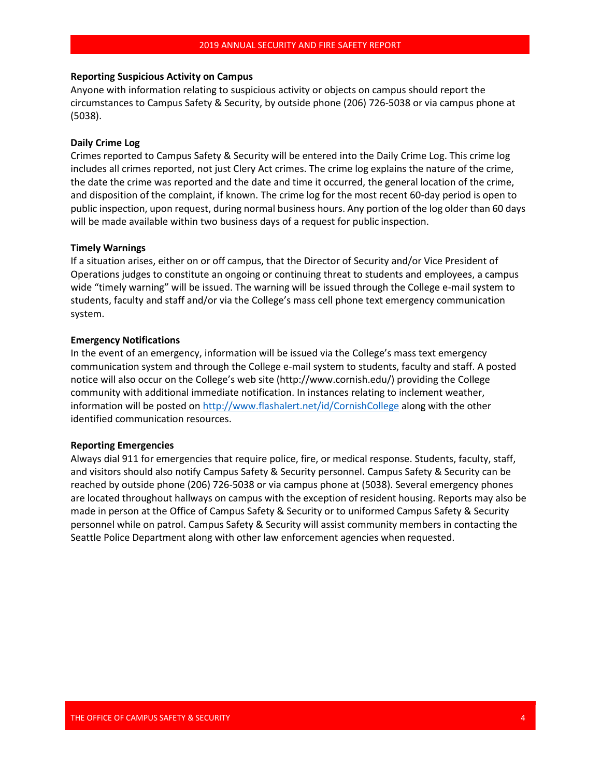### **Reporting Suspicious Activity on Campus**

Anyone with information relating to suspicious activity or objects on campus should report the circumstances to Campus Safety & Security, by outside phone (206) 726-5038 or via campus phone at (5038).

#### **Daily Crime Log**

Crimes reported to Campus Safety & Security will be entered into the Daily Crime Log. This crime log includes all crimes reported, not just Clery Act crimes. The crime log explains the nature of the crime, the date the crime was reported and the date and time it occurred, the general location of the crime, and disposition of the complaint, if known. The crime log for the most recent 60-day period is open to public inspection, upon request, during normal business hours. Any portion of the log older than 60 days will be made available within two business days of a request for public inspection.

#### **Timely Warnings**

If a situation arises, either on or off campus, that the Director of Security and/or Vice President of Operations judges to constitute an ongoing or continuing threat to students and employees, a campus wide "timely warning" will be issued. The warning will be issued through the College e-mail system to students, faculty and staff and/or via the College's mass cell phone text emergency communication system.

#### **Emergency Notifications**

In the event of an emergency, information will be issued via the College's mass text emergency communication system and through the College e-mail system to students, faculty and staff. A posted notice will also occur on the College's web site [\(http://www.cornish.edu/\)](http://www.cornish.edu/)) providing the College community with additional immediate notification. In instances relating to inclement weather, information will be posted o[n http://www.flashalert.net/id/CornishCollege](http://www.flashalert.net/id/CornishCollege) along with the other identified communication resources.

#### **Reporting Emergencies**

Always dial 911 for emergencies that require police, fire, or medical response. Students, faculty, staff, and visitors should also notify Campus Safety & Security personnel. Campus Safety & Security can be reached by outside phone (206) 726-5038 or via campus phone at (5038). Several emergency phones are located throughout hallways on campus with the exception of resident housing. Reports may also be made in person at the Office of Campus Safety & Security or to uniformed Campus Safety & Security personnel while on patrol. Campus Safety & Security will assist community members in contacting the Seattle Police Department along with other law enforcement agencies when requested.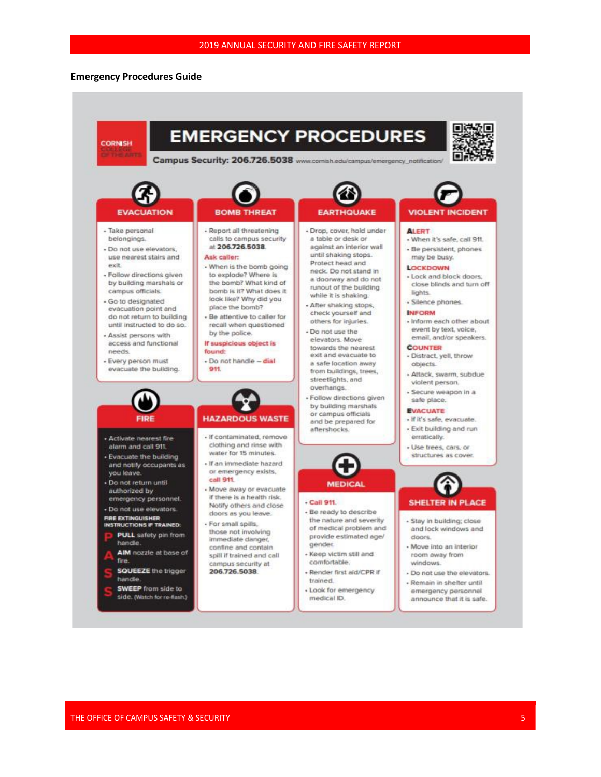#### **Emergency Procedures Guide**

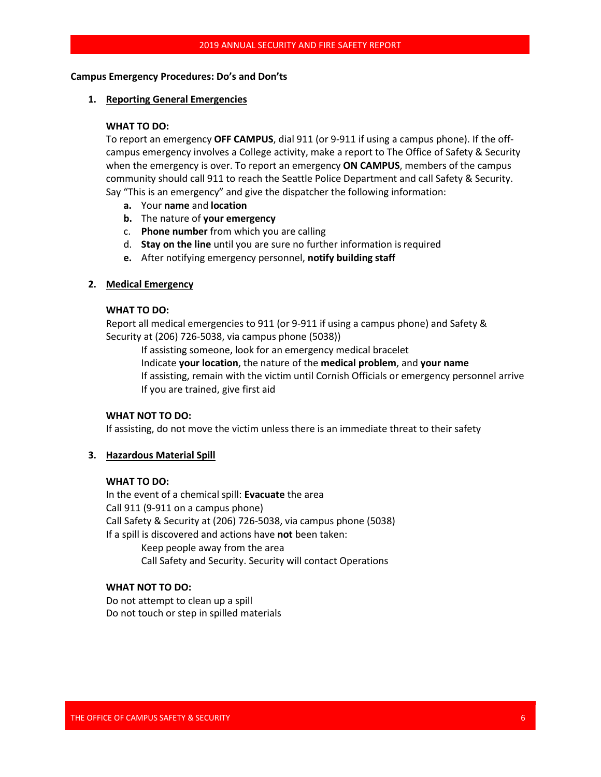### **Campus Emergency Procedures: Do's and Don'ts**

#### **1. Reporting General Emergencies**

#### **WHAT TO DO:**

To report an emergency **OFF CAMPUS**, dial 911 (or 9-911 if using a campus phone). If the offcampus emergency involves a College activity, make a report to The Office of Safety & Security when the emergency is over. To report an emergency **ON CAMPUS**, members of the campus community should call 911 to reach the Seattle Police Department and call Safety & Security. Say "This is an emergency" and give the dispatcher the following information:

- **a.** Your **name** and **location**
- **b.** The nature of **your emergency**
- c. **Phone number** from which you are calling
- d. **Stay on the line** until you are sure no further information isrequired
- **e.** After notifying emergency personnel, **notify building staff**

#### **2. Medical Emergency**

#### **WHAT TO DO:**

Report all medical emergencies to 911 (or 9-911 if using a campus phone) and Safety & Security at (206) 726-5038, via campus phone (5038))

If assisting someone, look for an emergency medical bracelet Indicate **your location**, the nature of the **medical problem**, and **your name** If assisting, remain with the victim until Cornish Officials or emergency personnel arrive If you are trained, give first aid

### **WHAT NOT TO DO:**

If assisting, do not move the victim unless there is an immediate threat to their safety

#### **3. Hazardous Material Spill**

#### **WHAT TO DO:**

In the event of a chemical spill: **Evacuate** the area Call 911 (9-911 on a campus phone) Call Safety & Security at (206) 726-5038, via campus phone (5038) If a spill is discovered and actions have **not** been taken: Keep people away from the area Call Safety and Security. Security will contact Operations

# **WHAT NOT TO DO:**

Do not attempt to clean up a spill Do not touch or step in spilled materials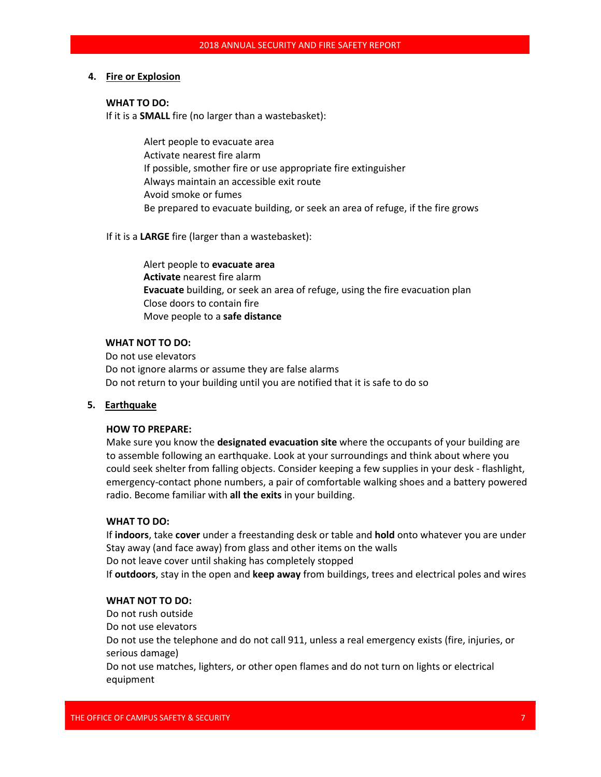### **4. Fire or Explosion**

#### **WHAT TO DO:**

If it is a **SMALL** fire (no larger than a wastebasket):

Alert people to evacuate area Activate nearest fire alarm If possible, smother fire or use appropriate fire extinguisher Always maintain an accessible exit route Avoid smoke or fumes Be prepared to evacuate building, or seek an area of refuge, if the fire grows

### If it is a **LARGE** fire (larger than a wastebasket):

Alert people to **evacuate area Activate** nearest fire alarm **Evacuate** building, or seek an area of refuge, using the fire evacuation plan Close doors to contain fire Move people to a **safe distance**

### **WHAT NOT TO DO:**

Do not use elevators Do not ignore alarms or assume they are false alarms Do not return to your building until you are notified that it is safe to do so

# **5. Earthquake**

### **HOW TO PREPARE:**

Make sure you know the **designated evacuation site** where the occupants of your building are to assemble following an earthquake. Look at your surroundings and think about where you could seek shelter from falling objects. Consider keeping a few supplies in your desk - flashlight, emergency-contact phone numbers, a pair of comfortable walking shoes and a battery powered radio. Become familiar with **all the exits** in your building.

### **WHAT TO DO:**

If **indoors**, take **cover** under a freestanding desk or table and **hold** onto whatever you are under Stay away (and face away) from glass and other items on the walls Do not leave cover until shaking has completely stopped If **outdoors**, stay in the open and **keep away** from buildings, trees and electrical poles and wires

### **WHAT NOT TO DO:**

Do not rush outside Do not use elevators Do not use the telephone and do not call 911, unless a real emergency exists (fire, injuries, or serious damage)

Do not use matches, lighters, or other open flames and do not turn on lights or electrical equipment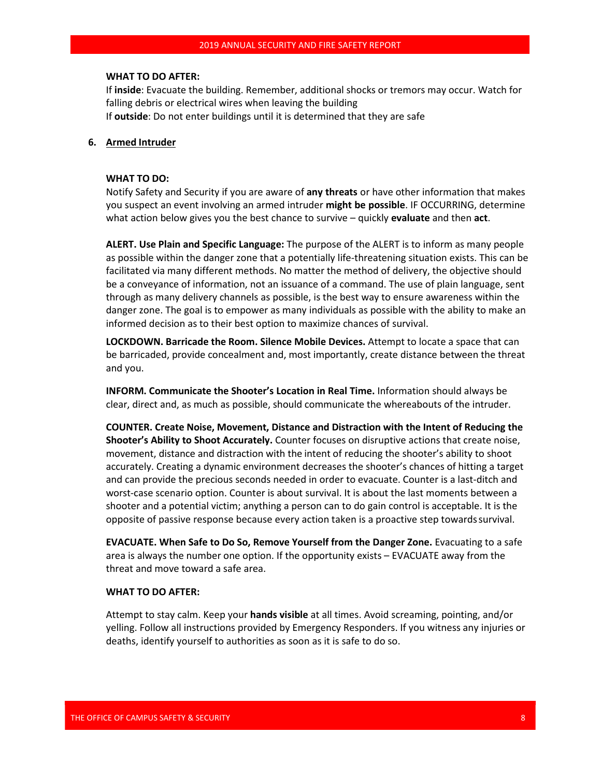#### **WHAT TO DO AFTER:**

If **inside**: Evacuate the building. Remember, additional shocks or tremors may occur. Watch for falling debris or electrical wires when leaving the building If **outside**: Do not enter buildings until it is determined that they are safe

#### **6. Armed Intruder**

#### **WHAT TO DO:**

Notify Safety and Security if you are aware of **any threats** or have other information that makes you suspect an event involving an armed intruder **might be possible**. IF OCCURRING, determine what action below gives you the best chance to survive – quickly **evaluate** and then **act**.

**ALERT. Use Plain and Specific Language:** The purpose of the ALERT is to inform as many people as possible within the danger zone that a potentially life-threatening situation exists. This can be facilitated via many different methods. No matter the method of delivery, the objective should be a conveyance of information, not an issuance of a command. The use of plain language, sent through as many delivery channels as possible, is the best way to ensure awareness within the danger zone. The goal is to empower as many individuals as possible with the ability to make an informed decision as to their best option to maximize chances of survival.

**LOCKDOWN. Barricade the Room. Silence Mobile Devices.** Attempt to locate a space that can be barricaded, provide concealment and, most importantly, create distance between the threat and you.

**INFORM. Communicate the Shooter's Location in Real Time.** Information should always be clear, direct and, as much as possible, should communicate the whereabouts of the intruder.

**COUNTER. Create Noise, Movement, Distance and Distraction with the Intent of Reducing the Shooter's Ability to Shoot Accurately.** Counter focuses on disruptive actions that create noise, movement, distance and distraction with the intent of reducing the shooter's ability to shoot accurately. Creating a dynamic environment decreases the shooter's chances of hitting a target and can provide the precious seconds needed in order to evacuate. Counter is a last-ditch and worst-case scenario option. Counter is about survival. It is about the last moments between a shooter and a potential victim; anything a person can to do gain control is acceptable. It is the opposite of passive response because every action taken is a proactive step towardssurvival.

**EVACUATE. When Safe to Do So, Remove Yourself from the Danger Zone.** Evacuating to a safe area is always the number one option. If the opportunity exists – EVACUATE away from the threat and move toward a safe area.

#### **WHAT TO DO AFTER:**

Attempt to stay calm. Keep your **hands visible** at all times. Avoid screaming, pointing, and/or yelling. Follow all instructions provided by Emergency Responders. If you witness any injuries or deaths, identify yourself to authorities as soon as it is safe to do so.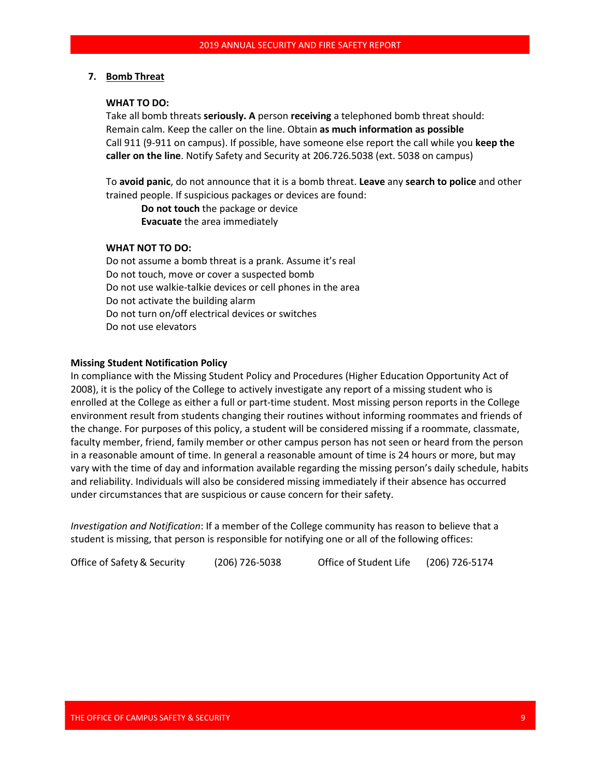#### **7. Bomb Threat**

#### **WHAT TO DO:**

Take all bomb threats **seriously. A** person **receiving** a telephoned bomb threat should: Remain calm. Keep the caller on the line. Obtain **as much information as possible** Call 911 (9-911 on campus). If possible, have someone else report the call while you **keep the caller on the line**. Notify Safety and Security at 206.726.5038 (ext. 5038 on campus)

To **avoid panic**, do not announce that it is a bomb threat. **Leave** any **search to police** and other trained people. If suspicious packages or devices are found:

**Do not touch** the package or device **Evacuate** the area immediately

### **WHAT NOT TO DO:**

Do not assume a bomb threat is a prank. Assume it's real Do not touch, move or cover a suspected bomb Do not use walkie-talkie devices or cell phones in the area Do not activate the building alarm Do not turn on/off electrical devices or switches Do not use elevators

#### **Missing Student Notification Policy**

In compliance with the Missing Student Policy and Procedures (Higher Education Opportunity Act of 2008), it is the policy of the College to actively investigate any report of a missing student who is enrolled at the College as either a full or part-time student. Most missing person reports in the College environment result from students changing their routines without informing roommates and friends of the change. For purposes of this policy, a student will be considered missing if a roommate, classmate, faculty member, friend, family member or other campus person has not seen or heard from the person in a reasonable amount of time. In general a reasonable amount of time is 24 hours or more, but may vary with the time of day and information available regarding the missing person's daily schedule, habits and reliability. Individuals will also be considered missing immediately if their absence has occurred under circumstances that are suspicious or cause concern for their safety.

*Investigation and Notification*: If a member of the College community has reason to believe that a student is missing, that person is responsible for notifying one or all of the following offices:

Office of Safety & Security (206) 726-5038 Office of Student Life (206) 726-5174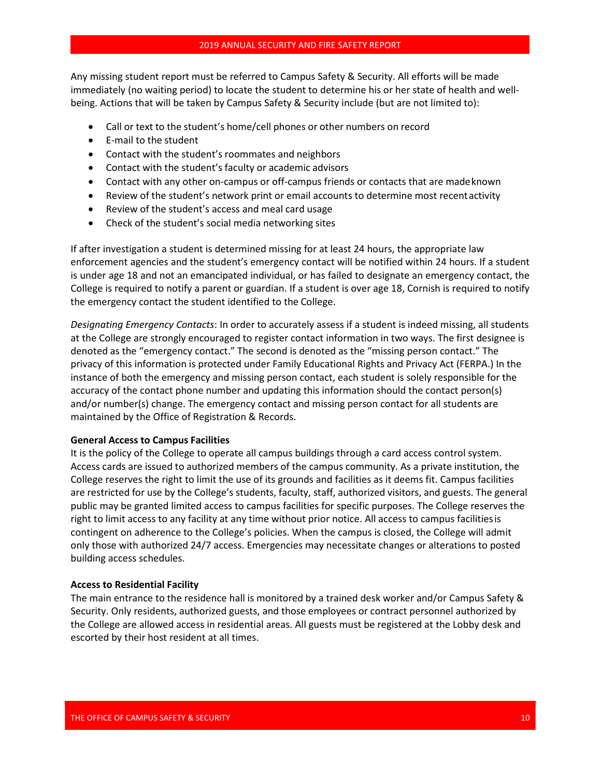Any missing student report must be referred to Campus Safety & Security. All efforts will be made immediately (no waiting period) to locate the student to determine his or her state of health and wellbeing. Actions that will be taken by Campus Safety & Security include (but are not limited to):

- Call or text to the student's home/cell phones or other numbers on record
- E-mail to the student
- Contact with the student's roommates and neighbors
- Contact with the student's faculty or academic advisors
- Contact with any other on-campus or off-campus friends or contacts that are madeknown
- Review of the student's network print or email accounts to determine most recentactivity
- Review of the student's access and meal card usage
- Check of the student's social media networking sites

If after investigation a student is determined missing for at least 24 hours, the appropriate law enforcement agencies and the student's emergency contact will be notified within 24 hours. If a student is under age 18 and not an emancipated individual, or has failed to designate an emergency contact, the College is required to notify a parent or guardian. If a student is over age 18, Cornish is required to notify the emergency contact the student identified to the College.

*Designating Emergency Contacts*: In order to accurately assess if a student is indeed missing, all students at the College are strongly encouraged to register contact information in two ways. The first designee is denoted as the "emergency contact." The second is denoted as the "missing person contact." The privacy of this information is protected under Family Educational Rights and Privacy Act (FERPA.) In the instance of both the emergency and missing person contact, each student is solely responsible for the accuracy of the contact phone number and updating this information should the contact person(s) and/or number(s) change. The emergency contact and missing person contact for all students are maintained by the Office of Registration & Records.

#### **General Access to Campus Facilities**

It is the policy of the College to operate all campus buildings through a card access control system. Access cards are issued to authorized members of the campus community. As a private institution, the College reserves the right to limit the use of its grounds and facilities as it deems fit. Campus facilities are restricted for use by the College's students, faculty, staff, authorized visitors, and guests. The general public may be granted limited access to campus facilities for specific purposes. The College reserves the right to limit access to any facility at any time without prior notice. All access to campus facilitiesis contingent on adherence to the College's policies. When the campus is closed, the College will admit only those with authorized 24/7 access. Emergencies may necessitate changes or alterations to posted building access schedules.

#### **Access to Residential Facility**

The main entrance to the residence hall is monitored by a trained desk worker and/or Campus Safety & Security. Only residents, authorized guests, and those employees or contract personnel authorized by the College are allowed access in residential areas. All guests must be registered at the Lobby desk and escorted by their host resident at all times.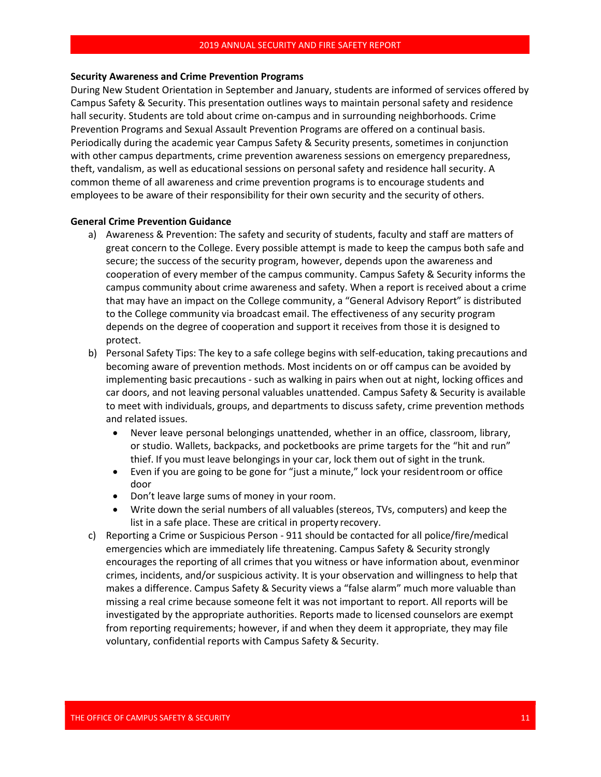#### **Security Awareness and Crime Prevention Programs**

During New Student Orientation in September and January, students are informed of services offered by Campus Safety & Security. This presentation outlines ways to maintain personal safety and residence hall security. Students are told about crime on-campus and in surrounding neighborhoods. Crime Prevention Programs and Sexual Assault Prevention Programs are offered on a continual basis. Periodically during the academic year Campus Safety & Security presents, sometimes in conjunction with other campus departments, crime prevention awareness sessions on emergency preparedness, theft, vandalism, as well as educational sessions on personal safety and residence hall security. A common theme of all awareness and crime prevention programs is to encourage students and employees to be aware of their responsibility for their own security and the security of others.

### **General Crime Prevention Guidance**

- a) Awareness & Prevention: The safety and security of students, faculty and staff are matters of great concern to the College. Every possible attempt is made to keep the campus both safe and secure; the success of the security program, however, depends upon the awareness and cooperation of every member of the campus community. Campus Safety & Security informs the campus community about crime awareness and safety. When a report is received about a crime that may have an impact on the College community, a "General Advisory Report" is distributed to the College community via broadcast email. The effectiveness of any security program depends on the degree of cooperation and support it receives from those it is designed to protect.
- b) Personal Safety Tips: The key to a safe college begins with self-education, taking precautions and becoming aware of prevention methods. Most incidents on or off campus can be avoided by implementing basic precautions - such as walking in pairs when out at night, locking offices and car doors, and not leaving personal valuables unattended. Campus Safety & Security is available to meet with individuals, groups, and departments to discuss safety, crime prevention methods and related issues.
	- Never leave personal belongings unattended, whether in an office, classroom, library, or studio. Wallets, backpacks, and pocketbooks are prime targets for the "hit and run" thief. If you must leave belongings in your car, lock them out of sight in the trunk.
	- Even if you are going to be gone for "just a minute," lock your residentroom or office door
	- Don't leave large sums of money in your room.
	- Write down the serial numbers of all valuables (stereos, TVs, computers) and keep the list in a safe place. These are critical in property recovery.
- c) Reporting a Crime or Suspicious Person 911 should be contacted for all police/fire/medical emergencies which are immediately life threatening. Campus Safety & Security strongly encourages the reporting of all crimes that you witness or have information about, evenminor crimes, incidents, and/or suspicious activity. It is your observation and willingness to help that makes a difference. Campus Safety & Security views a "false alarm" much more valuable than missing a real crime because someone felt it was not important to report. All reports will be investigated by the appropriate authorities. Reports made to licensed counselors are exempt from reporting requirements; however, if and when they deem it appropriate, they may file voluntary, confidential reports with Campus Safety & Security.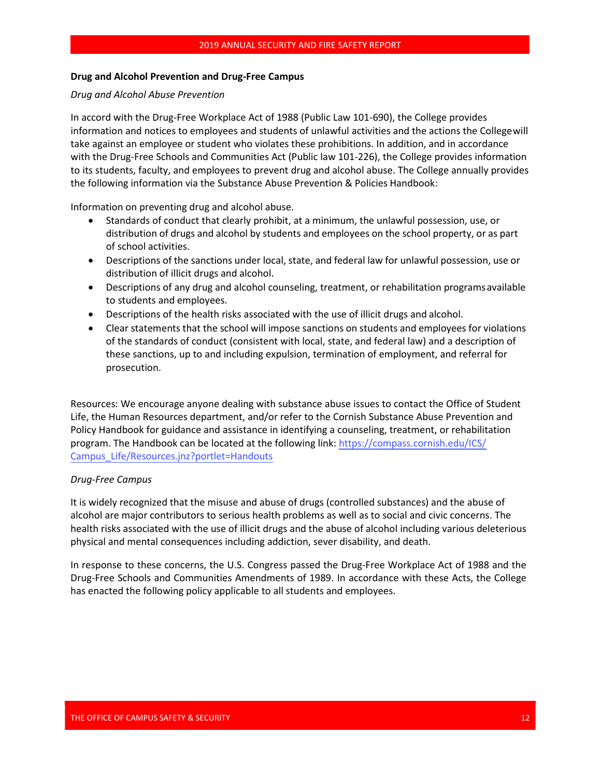#### **Drug and Alcohol Prevention and Drug-Free Campus**

### *Drug and Alcohol Abuse Prevention*

In accord with the Drug-Free Workplace Act of 1988 (Public Law 101-690), the College provides information and notices to employees and students of unlawful activities and the actions the Collegewill take against an employee or student who violates these prohibitions. In addition, and in accordance with the Drug-Free Schools and Communities Act (Public law 101-226), the College provides information to its students, faculty, and employees to prevent drug and alcohol abuse. The College annually provides the following information via the Substance Abuse Prevention & Policies Handbook:

Information on preventing drug and alcohol abuse.

- <span id="page-12-0"></span>• Standards of conduct that clearly prohibit, at a minimum, the unlawful possession, use, or distribution of drugs and alcohol by students and employees on the school property, or as part of school activities.
- Descriptions of the sanctions under local, state, and federal law for unlawful possession, use or distribution of illicit drugs and alcohol.
- Descriptions of any drug and alcohol counseling, treatment, or rehabilitation programsavailable to students and employees.
- Descriptions of the health risks associated with the use of illicit drugs and alcohol.
- Clear statements that the school will impose sanctions on students and employees for violations of the standards of conduct (consistent with local, state, and federal law) and a description of these sanctions, up to and including expulsion, termination of employment, and referral for prosecution.

Resources: We encourage anyone dealing with substance abuse issues to contact the Office of Student Life, the Human Resources department, and/or refer to the Cornish Substance Abuse Prevention and Policy Handbook for guidance and assistance in identifying a counseling, treatment, or rehabilitation program. [The Handbook can be located at the following link:](#page-12-0) [https://compass.cornish.edu/ICS/](#page-12-0)  [Campus\\_Life/Resources.jnz?portlet=Handouts](https://compass.cornish.edu/ICS/Campus_Life/Resources.jnz?portlet=HandoutsDrug-Free)

### *[Drug-Free Campus](https://compass.cornish.edu/ICS/Campus_Life/Resources.jnz?portlet=HandoutsDrug-Free)*

It is widely recognized that the misuse and abuse of drugs (controlled substances) and the abuse of alcohol are major contributors to serious health problems as well as to social and civic concerns. The health risks associated with the use of illicit drugs and the abuse of alcohol including various deleterious physical and mental consequences including addiction, sever disability, and death.

In response to these concerns, the U.S. Congress passed the Drug-Free Workplace Act of 1988 and the Drug-Free Schools and Communities Amendments of 1989. In accordance with these Acts, the College has enacted the following policy applicable to all students and employees.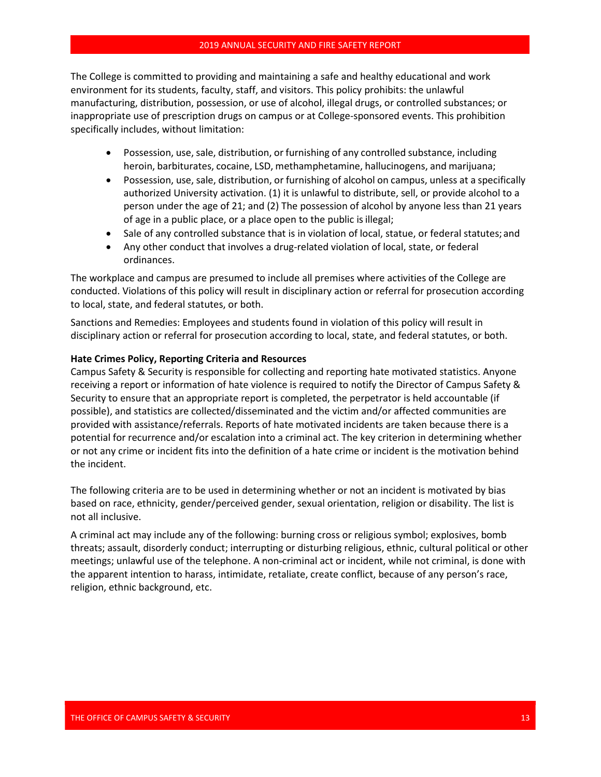The College is committed to providing and maintaining a safe and healthy educational and work environment for its students, faculty, staff, and visitors. This policy prohibits: the unlawful manufacturing, distribution, possession, or use of alcohol, illegal drugs, or controlled substances; or inappropriate use of prescription drugs on campus or at College-sponsored events. This prohibition specifically includes, without limitation:

- Possession, use, sale, distribution, or furnishing of any controlled substance, including heroin, barbiturates, cocaine, LSD, methamphetamine, hallucinogens, and marijuana;
- Possession, use, sale, distribution, or furnishing of alcohol on campus, unless at a specifically authorized University activation. (1) it is unlawful to distribute, sell, or provide alcohol to a person under the age of 21; and (2) The possession of alcohol by anyone less than 21 years of age in a public place, or a place open to the public isillegal;
- Sale of any controlled substance that is in violation of local, statue, or federal statutes; and
- Any other conduct that involves a drug-related violation of local, state, or federal ordinances.

The workplace and campus are presumed to include all premises where activities of the College are conducted. Violations of this policy will result in disciplinary action or referral for prosecution according to local, state, and federal statutes, or both.

Sanctions and Remedies: Employees and students found in violation of this policy will result in disciplinary action or referral for prosecution according to local, state, and federal statutes, or both.

#### **Hate Crimes Policy, Reporting Criteria and Resources**

Campus Safety & Security is responsible for collecting and reporting hate motivated statistics. Anyone receiving a report or information of hate violence is required to notify the Director of Campus Safety & Security to ensure that an appropriate report is completed, the perpetrator is held accountable (if possible), and statistics are collected/disseminated and the victim and/or affected communities are provided with assistance/referrals. Reports of hate motivated incidents are taken because there is a potential for recurrence and/or escalation into a criminal act. The key criterion in determining whether or not any crime or incident fits into the definition of a hate crime or incident is the motivation behind the incident.

The following criteria are to be used in determining whether or not an incident is motivated by bias based on race, ethnicity, gender/perceived gender, sexual orientation, religion or disability. The list is not all inclusive.

A criminal act may include any of the following: burning cross or religious symbol; explosives, bomb threats; assault, disorderly conduct; interrupting or disturbing religious, ethnic, cultural political or other meetings; unlawful use of the telephone. A non-criminal act or incident, while not criminal, is done with the apparent intention to harass, intimidate, retaliate, create conflict, because of any person's race, religion, ethnic background, etc.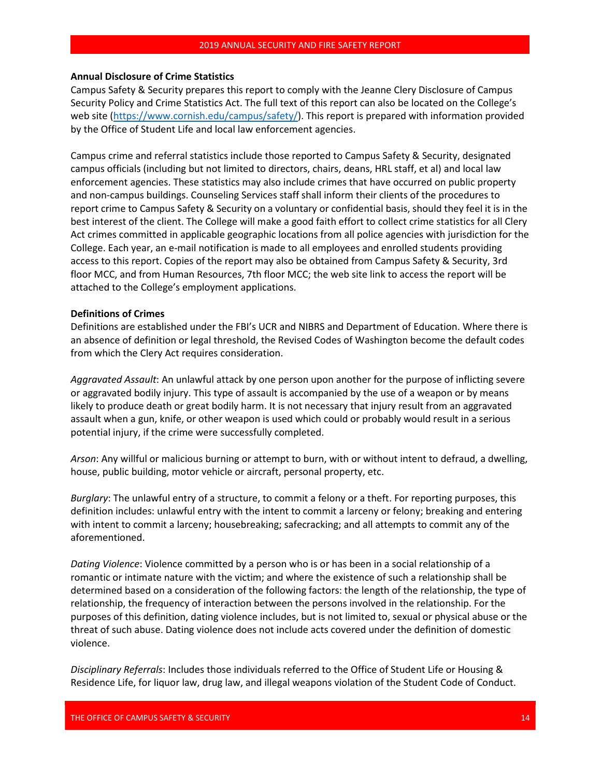#### **Annual Disclosure of Crime Statistics**

Campus Safety & Security prepares this report to comply with the Jeanne Clery Disclosure of Campus Security Policy and Crime Statistics Act. The full text of this report can also be located on the College's web site [\(https://www.cornish.edu/campus/safety/\)](https://www.cornish.edu/campus/safety/). This report is prepared with information provided by the Office of Student Life and local law enforcement agencies.

Campus crime and referral statistics include those reported to Campus Safety & Security, designated campus officials (including but not limited to directors, chairs, deans, HRL staff, et al) and local law enforcement agencies. These statistics may also include crimes that have occurred on public property and non-campus buildings. Counseling Services staff shall inform their clients of the procedures to report crime to Campus Safety & Security on a voluntary or confidential basis, should they feel it is in the best interest of the client. The College will make a good faith effort to collect crime statistics for all Clery Act crimes committed in applicable geographic locations from all police agencies with jurisdiction for the College. Each year, an e-mail notification is made to all employees and enrolled students providing access to this report. Copies of the report may also be obtained from Campus Safety & Security, 3rd floor MCC, and from Human Resources, 7th floor MCC; the web site link to access the report will be attached to the College's employment applications.

#### **Definitions of Crimes**

Definitions are established under the FBI's UCR and NIBRS and Department of Education. Where there is an absence of definition or legal threshold, the Revised Codes of Washington become the default codes from which the Clery Act requires consideration.

*Aggravated Assault*: An unlawful attack by one person upon another for the purpose of inflicting severe or aggravated bodily injury. This type of assault is accompanied by the use of a weapon or by means likely to produce death or great bodily harm. It is not necessary that injury result from an aggravated assault when a gun, knife, or other weapon is used which could or probably would result in a serious potential injury, if the crime were successfully completed.

*Arson*: Any willful or malicious burning or attempt to burn, with or without intent to defraud, a dwelling, house, public building, motor vehicle or aircraft, personal property, etc.

*Burglary*: The unlawful entry of a structure, to commit a felony or a theft. For reporting purposes, this definition includes: unlawful entry with the intent to commit a larceny or felony; breaking and entering with intent to commit a larceny; housebreaking; safecracking; and all attempts to commit any of the aforementioned.

*Dating Violence*: Violence committed by a person who is or has been in a social relationship of a romantic or intimate nature with the victim; and where the existence of such a relationship shall be determined based on a consideration of the following factors: the length of the relationship, the type of relationship, the frequency of interaction between the persons involved in the relationship. For the purposes of this definition, dating violence includes, but is not limited to, sexual or physical abuse or the threat of such abuse. Dating violence does not include acts covered under the definition of domestic violence.

*Disciplinary Referrals*: Includes those individuals referred to the Office of Student Life or Housing & Residence Life, for liquor law, drug law, and illegal weapons violation of the Student Code of Conduct.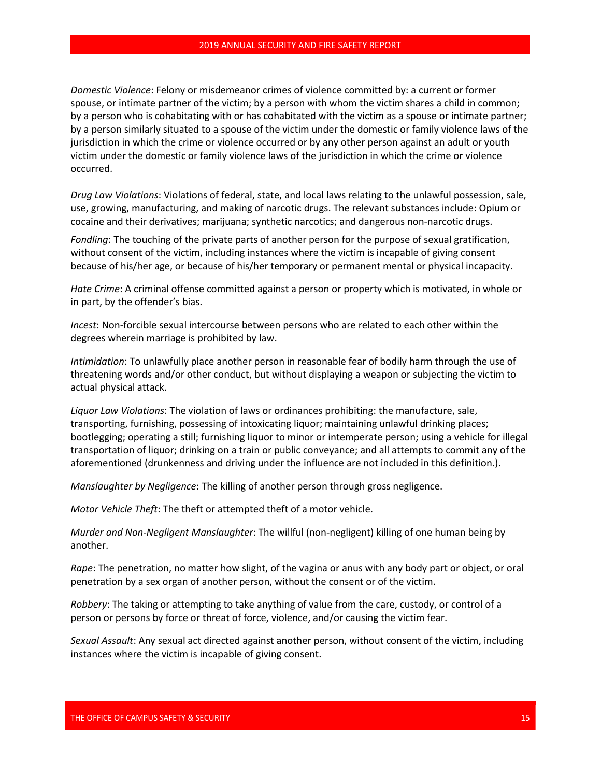*Domestic Violence*: Felony or misdemeanor crimes of violence committed by: a current or former spouse, or intimate partner of the victim; by a person with whom the victim shares a child in common; by a person who is cohabitating with or has cohabitated with the victim as a spouse or intimate partner; by a person similarly situated to a spouse of the victim under the domestic or family violence laws of the jurisdiction in which the crime or violence occurred or by any other person against an adult or youth victim under the domestic or family violence laws of the jurisdiction in which the crime or violence occurred.

*Drug Law Violations*: Violations of federal, state, and local laws relating to the unlawful possession, sale, use, growing, manufacturing, and making of narcotic drugs. The relevant substances include: Opium or cocaine and their derivatives; marijuana; synthetic narcotics; and dangerous non-narcotic drugs.

*Fondling*: The touching of the private parts of another person for the purpose of sexual gratification, without consent of the victim, including instances where the victim is incapable of giving consent because of his/her age, or because of his/her temporary or permanent mental or physical incapacity.

*Hate Crime*: A criminal offense committed against a person or property which is motivated, in whole or in part, by the offender's bias.

*Incest*: Non-forcible sexual intercourse between persons who are related to each other within the degrees wherein marriage is prohibited by law.

*Intimidation*: To unlawfully place another person in reasonable fear of bodily harm through the use of threatening words and/or other conduct, but without displaying a weapon or subjecting the victim to actual physical attack.

*Liquor Law Violations*: The violation of laws or ordinances prohibiting: the manufacture, sale, transporting, furnishing, possessing of intoxicating liquor; maintaining unlawful drinking places; bootlegging; operating a still; furnishing liquor to minor or intemperate person; using a vehicle for illegal transportation of liquor; drinking on a train or public conveyance; and all attempts to commit any of the aforementioned (drunkenness and driving under the influence are not included in this definition.).

*Manslaughter by Negligence*: The killing of another person through gross negligence.

*Motor Vehicle Theft*: The theft or attempted theft of a motor vehicle.

*Murder and Non-Negligent Manslaughter*: The willful (non-negligent) killing of one human being by another.

*Rape*: The penetration, no matter how slight, of the vagina or anus with any body part or object, or oral penetration by a sex organ of another person, without the consent or of the victim.

*Robbery*: The taking or attempting to take anything of value from the care, custody, or control of a person or persons by force or threat of force, violence, and/or causing the victim fear.

*Sexual Assault*: Any sexual act directed against another person, without consent of the victim, including instances where the victim is incapable of giving consent.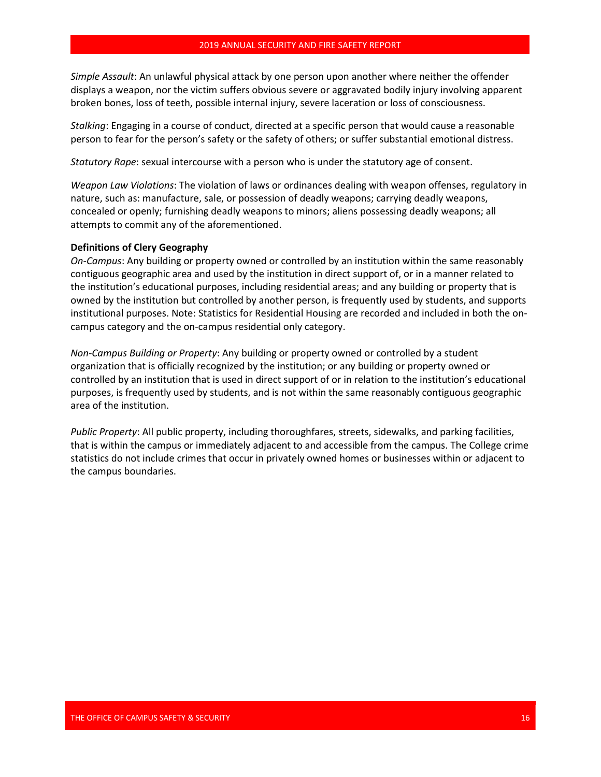*Simple Assault*: An unlawful physical attack by one person upon another where neither the offender displays a weapon, nor the victim suffers obvious severe or aggravated bodily injury involving apparent broken bones, loss of teeth, possible internal injury, severe laceration or loss of consciousness.

*Stalking*: Engaging in a course of conduct, directed at a specific person that would cause a reasonable person to fear for the person's safety or the safety of others; or suffer substantial emotional distress.

*Statutory Rape*: sexual intercourse with a person who is under the statutory age of consent.

*Weapon Law Violations*: The violation of laws or ordinances dealing with weapon offenses, regulatory in nature, such as: manufacture, sale, or possession of deadly weapons; carrying deadly weapons, concealed or openly; furnishing deadly weapons to minors; aliens possessing deadly weapons; all attempts to commit any of the aforementioned.

### **Definitions of Clery Geography**

*On-Campus*: Any building or property owned or controlled by an institution within the same reasonably contiguous geographic area and used by the institution in direct support of, or in a manner related to the institution's educational purposes, including residential areas; and any building or property that is owned by the institution but controlled by another person, is frequently used by students, and supports institutional purposes. Note: Statistics for Residential Housing are recorded and included in both the oncampus category and the on-campus residential only category.

*Non-Campus Building or Property*: Any building or property owned or controlled by a student organization that is officially recognized by the institution; or any building or property owned or controlled by an institution that is used in direct support of or in relation to the institution's educational purposes, is frequently used by students, and is not within the same reasonably contiguous geographic area of the institution.

*Public Property*: All public property, including thoroughfares, streets, sidewalks, and parking facilities, that is within the campus or immediately adjacent to and accessible from the campus. The College crime statistics do not include crimes that occur in privately owned homes or businesses within or adjacent to the campus boundaries.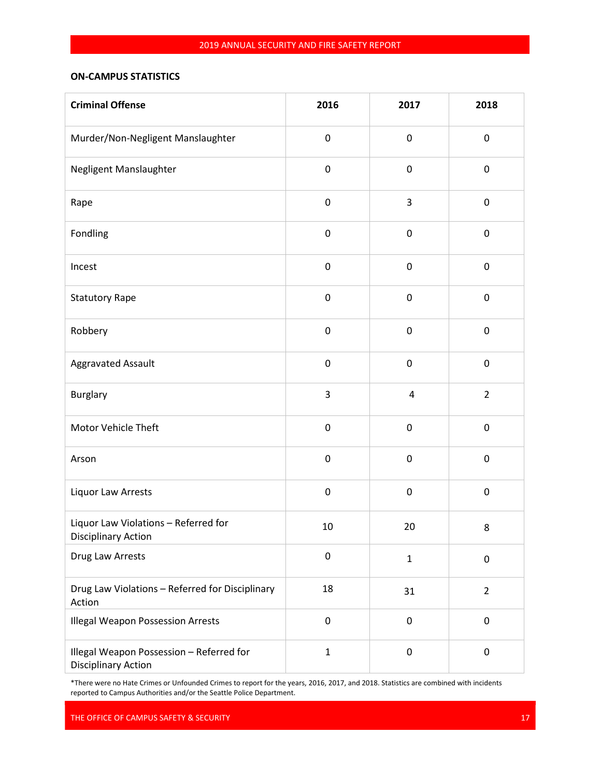# **ON-CAMPUS STATISTICS**

| <b>Criminal Offense</b>                                                | 2016         | 2017           | 2018           |
|------------------------------------------------------------------------|--------------|----------------|----------------|
| Murder/Non-Negligent Manslaughter                                      | $\pmb{0}$    | $\pmb{0}$      | 0              |
| Negligent Manslaughter                                                 | $\pmb{0}$    | $\pmb{0}$      | $\pmb{0}$      |
| Rape                                                                   | $\pmb{0}$    | 3              | $\pmb{0}$      |
| Fondling                                                               | $\pmb{0}$    | 0              | $\pmb{0}$      |
| Incest                                                                 | $\pmb{0}$    | $\pmb{0}$      | 0              |
| <b>Statutory Rape</b>                                                  | $\pmb{0}$    | $\pmb{0}$      | $\pmb{0}$      |
| Robbery                                                                | $\pmb{0}$    | $\pmb{0}$      | $\pmb{0}$      |
| <b>Aggravated Assault</b>                                              | $\pmb{0}$    | $\pmb{0}$      | $\pmb{0}$      |
| <b>Burglary</b>                                                        | 3            | $\overline{4}$ | $\overline{2}$ |
| Motor Vehicle Theft                                                    | $\pmb{0}$    | 0              | $\pmb{0}$      |
| Arson                                                                  | $\pmb{0}$    | $\pmb{0}$      | $\pmb{0}$      |
| Liquor Law Arrests                                                     | $\pmb{0}$    | $\pmb{0}$      | $\pmb{0}$      |
| Liquor Law Violations - Referred for<br><b>Disciplinary Action</b>     | 10           | 20             | 8              |
| Drug Law Arrests                                                       | $\pmb{0}$    | $\mathbf{1}$   | $\pmb{0}$      |
| Drug Law Violations - Referred for Disciplinary<br>Action              | 18           | 31             | $\overline{2}$ |
| <b>Illegal Weapon Possession Arrests</b>                               | $\pmb{0}$    | $\pmb{0}$      | 0              |
| Illegal Weapon Possession - Referred for<br><b>Disciplinary Action</b> | $\mathbf{1}$ | $\pmb{0}$      | 0              |

\*There were no Hate Crimes or Unfounded Crimes to report for the years, 2016, 2017, and 2018. Statistics are combined with incidents reported to Campus Authorities and/or the Seattle Police Department.

THE OFFICE OF CAMPUS SAFETY & SECURITY 17 AND 17 AND 17 AND 17 AND 17 AND 17 AND 17 AND 17 AND 17 AND 17 AND 17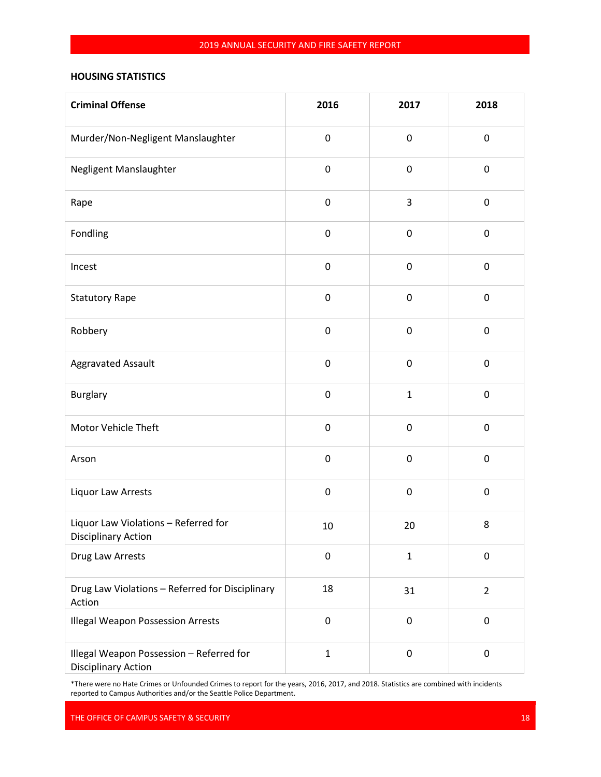# **HOUSING STATISTICS**

| <b>Criminal Offense</b>                                                | 2016         | 2017         | 2018           |
|------------------------------------------------------------------------|--------------|--------------|----------------|
| Murder/Non-Negligent Manslaughter                                      | $\pmb{0}$    | $\pmb{0}$    | 0              |
| Negligent Manslaughter                                                 | $\pmb{0}$    | $\pmb{0}$    | $\pmb{0}$      |
| Rape                                                                   | $\pmb{0}$    | 3            | $\pmb{0}$      |
| Fondling                                                               | $\pmb{0}$    | 0            | $\pmb{0}$      |
| Incest                                                                 | $\pmb{0}$    | $\pmb{0}$    | 0              |
| <b>Statutory Rape</b>                                                  | $\pmb{0}$    | $\pmb{0}$    | $\pmb{0}$      |
| Robbery                                                                | $\pmb{0}$    | $\pmb{0}$    | $\pmb{0}$      |
| <b>Aggravated Assault</b>                                              | $\pmb{0}$    | $\pmb{0}$    | $\pmb{0}$      |
| <b>Burglary</b>                                                        | $\pmb{0}$    | $\mathbf{1}$ | $\pmb{0}$      |
| Motor Vehicle Theft                                                    | $\pmb{0}$    | 0            | $\pmb{0}$      |
| Arson                                                                  | $\pmb{0}$    | $\pmb{0}$    | $\pmb{0}$      |
| Liquor Law Arrests                                                     | $\pmb{0}$    | $\pmb{0}$    | $\pmb{0}$      |
| Liquor Law Violations - Referred for<br><b>Disciplinary Action</b>     | $10\,$       | 20           | 8              |
| Drug Law Arrests                                                       | $\pmb{0}$    | $\mathbf{1}$ | 0              |
| Drug Law Violations - Referred for Disciplinary<br>Action              | 18           | 31           | $\overline{2}$ |
| <b>Illegal Weapon Possession Arrests</b>                               | $\pmb{0}$    | $\pmb{0}$    | 0              |
| Illegal Weapon Possession - Referred for<br><b>Disciplinary Action</b> | $\mathbf{1}$ | $\pmb{0}$    | 0              |

\*There were no Hate Crimes or Unfounded Crimes to report for the years, 2016, 2017, and 2018. Statistics are combined with incidents reported to Campus Authorities and/or the Seattle Police Department.

THE OFFICE OF CAMPUS SAFETY & SECURITY 18 AND 18 AND 18 AND 18 AND 18 AND 18 AND 18 AND 18 AND 18 AND 18 AND 18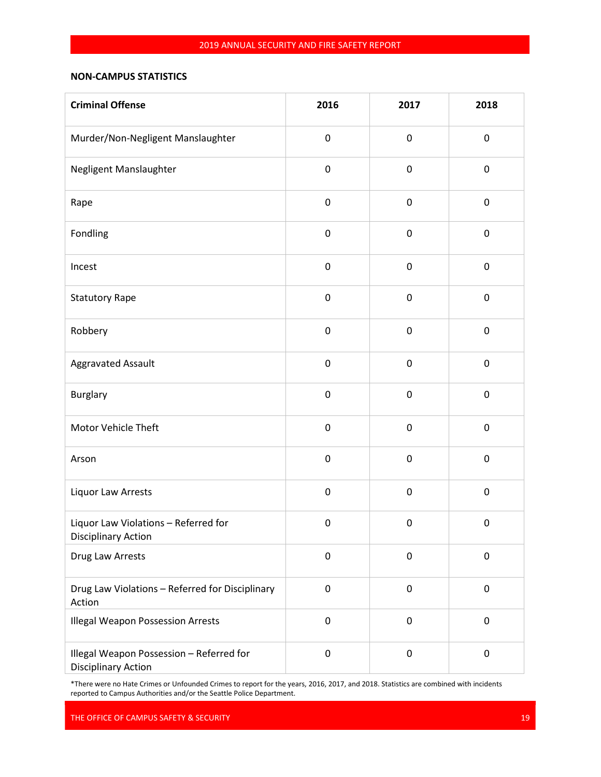# **NON-CAMPUS STATISTICS**

| <b>Criminal Offense</b>                                                | 2016             | 2017      | 2018        |
|------------------------------------------------------------------------|------------------|-----------|-------------|
| Murder/Non-Negligent Manslaughter                                      | $\pmb{0}$        | $\pmb{0}$ | 0           |
| Negligent Manslaughter                                                 | $\pmb{0}$        | $\pmb{0}$ | $\pmb{0}$   |
| Rape                                                                   | $\pmb{0}$        | $\pmb{0}$ | $\pmb{0}$   |
| Fondling                                                               | $\pmb{0}$        | $\pmb{0}$ | $\pmb{0}$   |
| Incest                                                                 | $\pmb{0}$        | $\pmb{0}$ | 0           |
| <b>Statutory Rape</b>                                                  | $\pmb{0}$        | $\pmb{0}$ | $\pmb{0}$   |
| Robbery                                                                | $\pmb{0}$        | $\pmb{0}$ | $\pmb{0}$   |
| Aggravated Assault                                                     | $\boldsymbol{0}$ | $\pmb{0}$ | $\pmb{0}$   |
| <b>Burglary</b>                                                        | $\pmb{0}$        | $\pmb{0}$ | $\mathbf 0$ |
| Motor Vehicle Theft                                                    | $\boldsymbol{0}$ | $\pmb{0}$ | $\pmb{0}$   |
| Arson                                                                  | $\pmb{0}$        | $\pmb{0}$ | $\pmb{0}$   |
| Liquor Law Arrests                                                     | $\pmb{0}$        | $\pmb{0}$ | $\pmb{0}$   |
| Liquor Law Violations - Referred for<br>Disciplinary Action            | $\pmb{0}$        | $\pmb{0}$ | $\pmb{0}$   |
| Drug Law Arrests                                                       | $\pmb{0}$        | 0         | 0           |
| Drug Law Violations - Referred for Disciplinary<br>Action              | $\pmb{0}$        | $\pmb{0}$ | $\pmb{0}$   |
| <b>Illegal Weapon Possession Arrests</b>                               | $\pmb{0}$        | $\pmb{0}$ | 0           |
| Illegal Weapon Possession - Referred for<br><b>Disciplinary Action</b> | $\pmb{0}$        | $\pmb{0}$ | 0           |

\*There were no Hate Crimes or Unfounded Crimes to report for the years, 2016, 2017, and 2018. Statistics are combined with incidents reported to Campus Authorities and/or the Seattle Police Department.

THE OFFICE OF CAMPUS SAFETY & SECURITY 19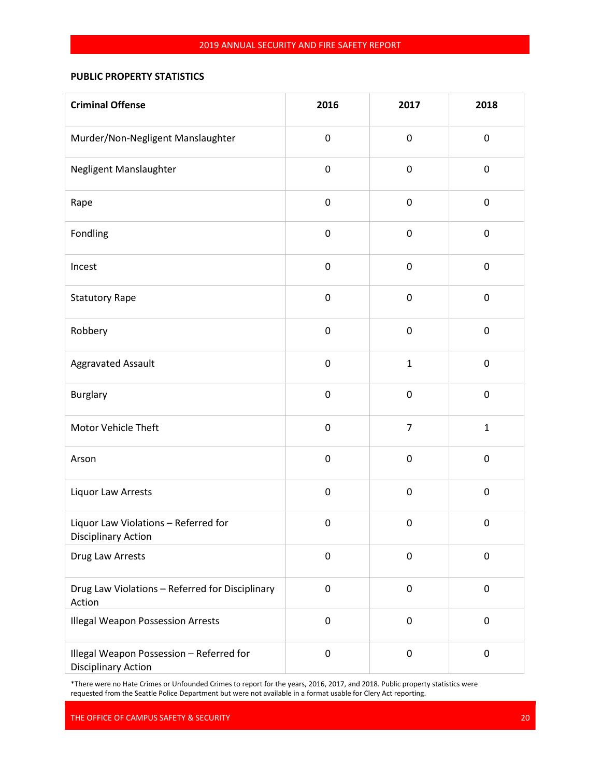# **PUBLIC PROPERTY STATISTICS**

| <b>Criminal Offense</b>                                                | 2016             | 2017           | 2018         |
|------------------------------------------------------------------------|------------------|----------------|--------------|
| Murder/Non-Negligent Manslaughter                                      | $\pmb{0}$        | $\pmb{0}$      | 0            |
| Negligent Manslaughter                                                 | $\boldsymbol{0}$ | $\pmb{0}$      | $\pmb{0}$    |
| Rape                                                                   | $\pmb{0}$        | $\pmb{0}$      | $\pmb{0}$    |
| Fondling                                                               | $\pmb{0}$        | 0              | $\pmb{0}$    |
| Incest                                                                 | $\pmb{0}$        | $\pmb{0}$      | 0            |
| <b>Statutory Rape</b>                                                  | $\pmb{0}$        | $\pmb{0}$      | $\pmb{0}$    |
| Robbery                                                                | $\pmb{0}$        | $\pmb{0}$      | $\pmb{0}$    |
| <b>Aggravated Assault</b>                                              | $\pmb{0}$        | $\mathbf{1}$   | $\pmb{0}$    |
| <b>Burglary</b>                                                        | $\pmb{0}$        | $\pmb{0}$      | $\pmb{0}$    |
| Motor Vehicle Theft                                                    | $\mathbf 0$      | $\overline{7}$ | $\mathbf{1}$ |
| Arson                                                                  | $\pmb{0}$        | $\pmb{0}$      | $\pmb{0}$    |
| Liquor Law Arrests                                                     | $\pmb{0}$        | $\pmb{0}$      | $\pmb{0}$    |
| Liquor Law Violations - Referred for<br><b>Disciplinary Action</b>     | $\pmb{0}$        | $\pmb{0}$      | $\pmb{0}$    |
| Drug Law Arrests                                                       | $\pmb{0}$        | 0              | 0            |
| Drug Law Violations - Referred for Disciplinary<br>Action              | $\pmb{0}$        | $\pmb{0}$      | 0            |
| <b>Illegal Weapon Possession Arrests</b>                               | $\pmb{0}$        | 0              | 0            |
| Illegal Weapon Possession - Referred for<br><b>Disciplinary Action</b> | $\pmb{0}$        | $\pmb{0}$      | 0            |

\*There were no Hate Crimes or Unfounded Crimes to report for the years, 2016, 2017, and 2018. Public property statistics were requested from the Seattle Police Department but were not available in a format usable for Clery Act reporting.

THE OFFICE OF CAMPUS SAFETY & SECURITY 20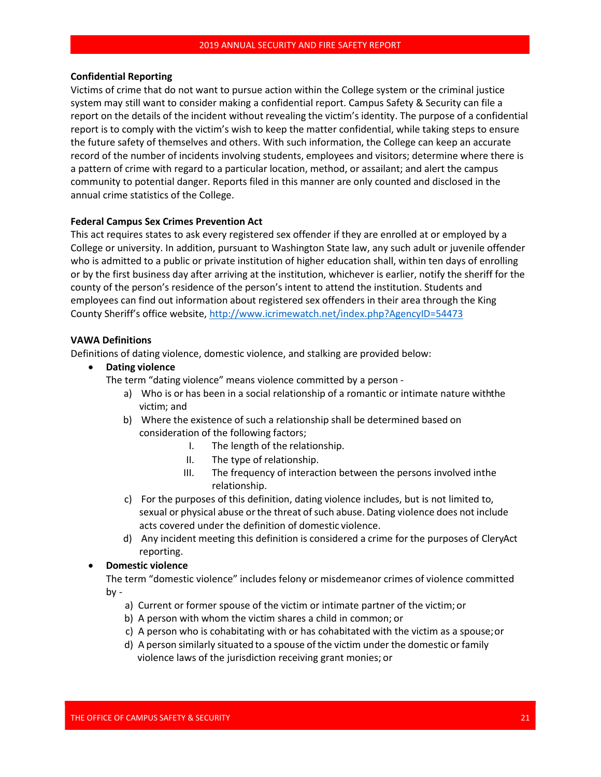#### **Confidential Reporting**

Victims of crime that do not want to pursue action within the College system or the criminal justice system may still want to consider making a confidential report. Campus Safety & Security can file a report on the details of the incident without revealing the victim's identity. The purpose of a confidential report is to comply with the victim's wish to keep the matter confidential, while taking steps to ensure the future safety of themselves and others. With such information, the College can keep an accurate record of the number of incidents involving students, employees and visitors; determine where there is a pattern of crime with regard to a particular location, method, or assailant; and alert the campus community to potential danger. Reports filed in this manner are only counted and disclosed in the annual crime statistics of the College.

### **Federal Campus Sex Crimes Prevention Act**

This act requires states to ask every registered sex offender if they are enrolled at or employed by a College or university. In addition, pursuant to Washington State law, any such adult or juvenile offender who is admitted to a public or private institution of higher education shall, within ten days of enrolling or by the first business day after arriving at the institution, whichever is earlier, notify the sheriff for the county of the person's residence of the person's intent to attend the institution. Students and employees can find out information about registered sex offenders in their area through the King County Sheriff's office website,<http://www.icrimewatch.net/index.php?AgencyID=54473>

### **VAWA Definitions**

Definitions of dating violence, domestic violence, and stalking are provided below:

• **Dating violence**

The term "dating violence" means violence committed by a person -

- a) Who is or has been in a social relationship of a romantic or intimate nature withthe victim; and
- b) Where the existence of such a relationship shall be determined based on consideration of the following factors;
	- I. The length of the relationship.
	- II. The type of relationship.
	- III. The frequency of interaction between the persons involved inthe relationship.
- c) For the purposes of this definition, dating violence includes, but is not limited to, sexual or physical abuse or the threat of such abuse. Dating violence does not include acts covered under the definition of domestic violence.
- d) Any incident meeting this definition is considered a crime for the purposes of CleryAct reporting.
- **Domestic violence**

The term "domestic violence" includes felony or misdemeanor crimes of violence committed by -

- a) Current or former spouse of the victim or intimate partner of the victim; or
- b) A person with whom the victim shares a child in common; or
- c) A person who is cohabitating with or has cohabitated with the victim as a spouse;or
- d) A person similarly situated to a spouse ofthe victim under the domestic or family violence laws of the jurisdiction receiving grant monies; or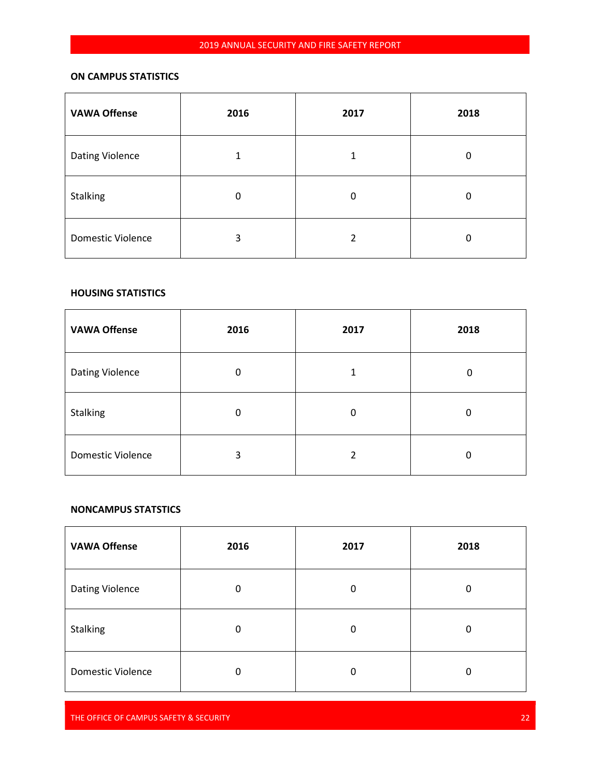# **ON CAMPUS STATISTICS**

| <b>VAWA Offense</b>      | 2016 | 2017 | 2018     |
|--------------------------|------|------|----------|
| <b>Dating Violence</b>   | 1    | 1    | 0        |
| <b>Stalking</b>          | 0    | 0    | $\Omega$ |
| <b>Domestic Violence</b> | 3    | 2    | 0        |

### **HOUSING STATISTICS**

| <b>VAWA Offense</b>      | 2016 | 2017 | 2018 |
|--------------------------|------|------|------|
| Dating Violence          | 0    | 1    | 0    |
| <b>Stalking</b>          | 0    | 0    | 0    |
| <b>Domestic Violence</b> | 3    | 2    | 0    |

#### **NONCAMPUS STATSTICS**

 $\mathbf{r}$ 

| <b>VAWA Offense</b>      | 2016 | 2017 | 2018 |
|--------------------------|------|------|------|
| Dating Violence          | 0    | 0    | 0    |
| <b>Stalking</b>          | 0    | 0    | 0    |
| <b>Domestic Violence</b> | 0    | 0    | 0    |

THE OFFICE OF CAMPUS SAFETY & SECURITY **22** CONSUMING THE CONSUMING THE CONSUMING THE CONSUMING THE 22 CONSUMING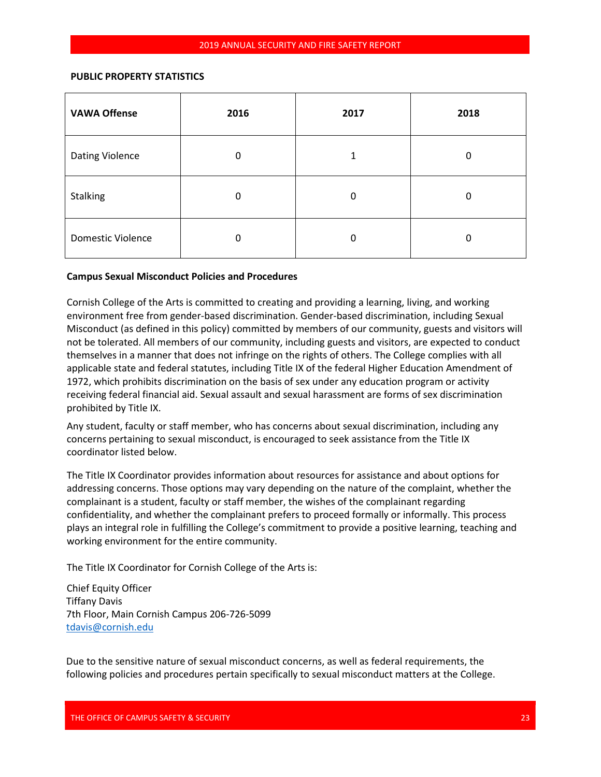### **PUBLIC PROPERTY STATISTICS**

| <b>VAWA Offense</b>    | 2016 | 2017 | 2018 |
|------------------------|------|------|------|
| <b>Dating Violence</b> | 0    | 1    | 0    |
| <b>Stalking</b>        | 0    | 0    | 0    |
| Domestic Violence      | 0    | 0    | 0    |

### **Campus Sexual Misconduct Policies and Procedures**

Cornish College of the Arts is committed to creating and providing a learning, living, and working environment free from gender-based discrimination. Gender-based discrimination, including Sexual Misconduct (as defined in this policy) committed by members of our community, guests and visitors will not be tolerated. All members of our community, including guests and visitors, are expected to conduct themselves in a manner that does not infringe on the rights of others. The College complies with all applicable state and federal statutes, including Title IX of the federal Higher Education Amendment of 1972, which prohibits discrimination on the basis of sex under any education program or activity receiving federal financial aid. Sexual assault and sexual harassment are forms of sex discrimination prohibited by Title IX.

Any student, faculty or staff member, who has concerns about sexual discrimination, including any concerns pertaining to sexual misconduct, is encouraged to seek assistance from the Title IX coordinator listed below.

The Title IX Coordinator provides information about resources for assistance and about options for addressing concerns. Those options may vary depending on the nature of the complaint, whether the complainant is a student, faculty or staff member, the wishes of the complainant regarding confidentiality, and whether the complainant prefers to proceed formally or informally. This process plays an integral role in fulfilling the College's commitment to provide a positive learning, teaching and working environment for the entire community.

The Title IX Coordinator for Cornish College of the Arts is:

Chief Equity Officer Tiffany Davis 7th Floor, Main Cornish Campus 206-726-5099 [tdavis@cornish.edu](mailto:tdavis@cornish.edu)

Due to the sensitive nature of sexual misconduct concerns, as well as federal requirements, the following policies and procedures pertain specifically to sexual misconduct matters at the College.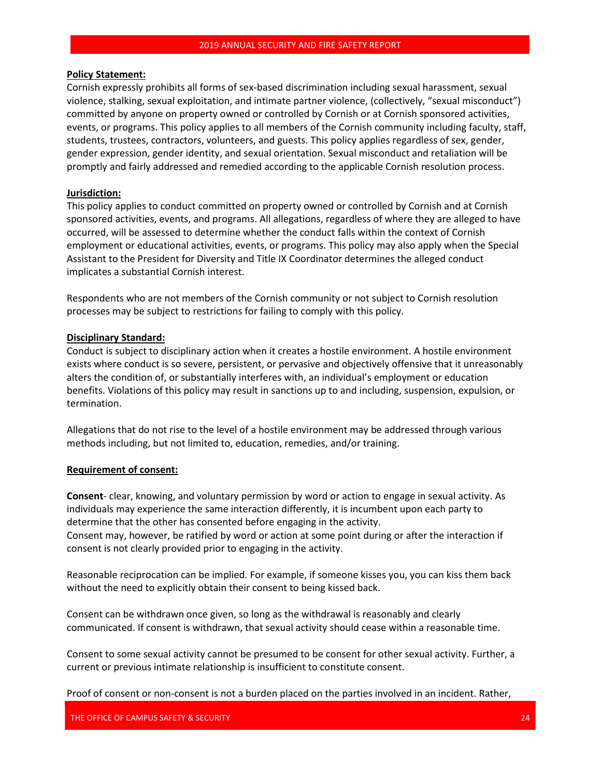### **Policy Statement:**

Cornish expressly prohibits all forms of sex-based discrimination including sexual harassment, sexual violence, stalking, sexual exploitation, and intimate partner violence, (collectively, "sexual misconduct") committed by anyone on property owned or controlled by Cornish or at Cornish sponsored activities, events, or programs. This policy applies to all members of the Cornish community including faculty, staff, students, trustees, contractors, volunteers, and guests. This policy applies regardless of sex, gender, gender expression, gender identity, and sexual orientation. Sexual misconduct and retaliation will be promptly and fairly addressed and remedied according to the applicable Cornish resolution process.

### **Jurisdiction:**

This policy applies to conduct committed on property owned or controlled by Cornish and at Cornish sponsored activities, events, and programs. All allegations, regardless of where they are alleged to have occurred, will be assessed to determine whether the conduct falls within the context of Cornish employment or educational activities, events, or programs. This policy may also apply when the Special Assistant to the President for Diversity and Title IX Coordinator determines the alleged conduct implicates a substantial Cornish interest.

Respondents who are not members of the Cornish community or not subject to Cornish resolution processes may be subject to restrictions for failing to comply with this policy.

### **Disciplinary Standard:**

Conduct is subject to disciplinary action when it creates a hostile environment. A hostile environment exists where conduct is so severe, persistent, or pervasive and objectively offensive that it unreasonably alters the condition of, or substantially interferes with, an individual's employment or education benefits. Violations of this policy may result in sanctions up to and including, suspension, expulsion, or termination.

Allegations that do not rise to the level of a hostile environment may be addressed through various methods including, but not limited to, education, remedies, and/or training.

### **Requirement of consent:**

**Consent**- clear, knowing, and voluntary permission by word or action to engage in sexual activity. As individuals may experience the same interaction differently, it is incumbent upon each party to determine that the other has consented before engaging in the activity. Consent may, however, be ratified by word or action at some point during or after the interaction if consent is not clearly provided prior to engaging in the activity.

Reasonable reciprocation can be implied. For example, if someone kisses you, you can kiss them back without the need to explicitly obtain their consent to being kissed back.

Consent can be withdrawn once given, so long as the withdrawal is reasonably and clearly communicated. If consent is withdrawn, that sexual activity should cease within a reasonable time.

Consent to some sexual activity cannot be presumed to be consent for other sexual activity. Further, a current or previous intimate relationship is insufficient to constitute consent.

Proof of consent or non-consent is not a burden placed on the parties involved in an incident. Rather,

THE OFFICE OF CAMPUS SAFETY & SECURITY 24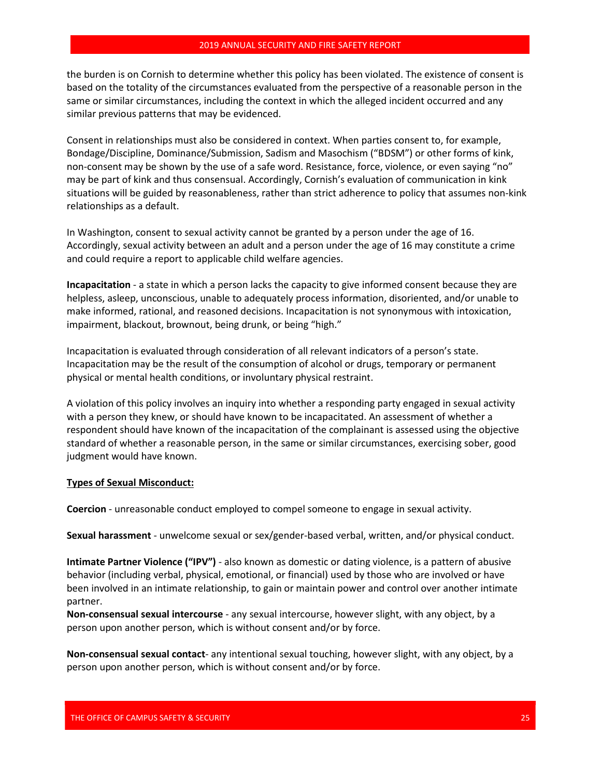the burden is on Cornish to determine whether this policy has been violated. The existence of consent is based on the totality of the circumstances evaluated from the perspective of a reasonable person in the same or similar circumstances, including the context in which the alleged incident occurred and any similar previous patterns that may be evidenced.

Consent in relationships must also be considered in context. When parties consent to, for example, Bondage/Discipline, Dominance/Submission, Sadism and Masochism ("BDSM") or other forms of kink, non-consent may be shown by the use of a safe word. Resistance, force, violence, or even saying "no" may be part of kink and thus consensual. Accordingly, Cornish's evaluation of communication in kink situations will be guided by reasonableness, rather than strict adherence to policy that assumes non-kink relationships as a default.

In Washington, consent to sexual activity cannot be granted by a person under the age of 16. Accordingly, sexual activity between an adult and a person under the age of 16 may constitute a crime and could require a report to applicable child welfare agencies.

**Incapacitation** - a state in which a person lacks the capacity to give informed consent because they are helpless, asleep, unconscious, unable to adequately process information, disoriented, and/or unable to make informed, rational, and reasoned decisions. Incapacitation is not synonymous with intoxication, impairment, blackout, brownout, being drunk, or being "high."

Incapacitation is evaluated through consideration of all relevant indicators of a person's state. Incapacitation may be the result of the consumption of alcohol or drugs, temporary or permanent physical or mental health conditions, or involuntary physical restraint.

A violation of this policy involves an inquiry into whether a responding party engaged in sexual activity with a person they knew, or should have known to be incapacitated. An assessment of whether a respondent should have known of the incapacitation of the complainant is assessed using the objective standard of whether a reasonable person, in the same or similar circumstances, exercising sober, good judgment would have known.

### **Types of Sexual Misconduct:**

**Coercion** - unreasonable conduct employed to compel someone to engage in sexual activity.

**Sexual harassment** - unwelcome sexual or sex/gender-based verbal, written, and/or physical conduct.

**Intimate Partner Violence ("IPV")** - also known as domestic or dating violence, is a pattern of abusive behavior (including verbal, physical, emotional, or financial) used by those who are involved or have been involved in an intimate relationship, to gain or maintain power and control over another intimate partner.

**Non-consensual sexual intercourse** - any sexual intercourse, however slight, with any object, by a person upon another person, which is without consent and/or by force.

**Non-consensual sexual contact**- any intentional sexual touching, however slight, with any object, by a person upon another person, which is without consent and/or by force.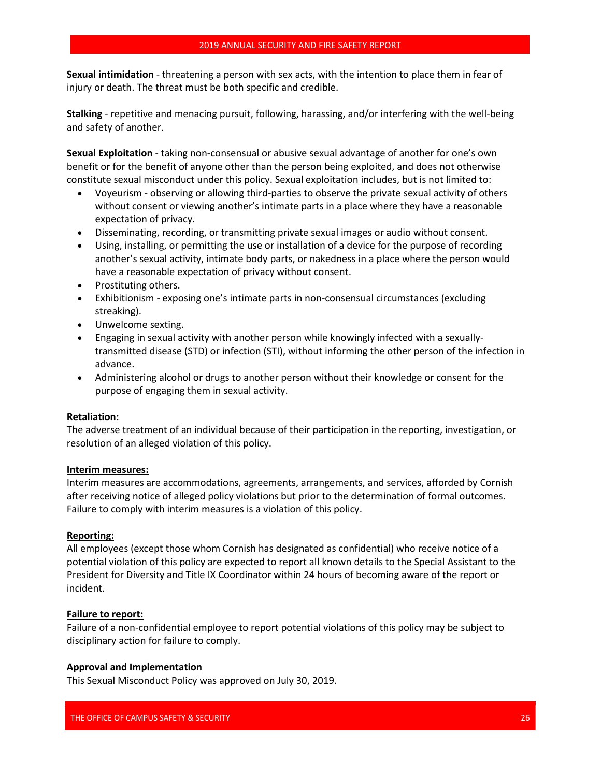**Sexual intimidation** - threatening a person with sex acts, with the intention to place them in fear of injury or death. The threat must be both specific and credible.

**Stalking** - repetitive and menacing pursuit, following, harassing, and/or interfering with the well-being and safety of another.

**Sexual Exploitation** - taking non-consensual or abusive sexual advantage of another for one's own benefit or for the benefit of anyone other than the person being exploited, and does not otherwise constitute sexual misconduct under this policy. Sexual exploitation includes, but is not limited to:

- Voyeurism observing or allowing third-parties to observe the private sexual activity of others without consent or viewing another's intimate parts in a place where they have a reasonable expectation of privacy.
- Disseminating, recording, or transmitting private sexual images or audio without consent.
- Using, installing, or permitting the use or installation of a device for the purpose of recording another's sexual activity, intimate body parts, or nakedness in a place where the person would have a reasonable expectation of privacy without consent.
- Prostituting others.
- Exhibitionism exposing one's intimate parts in non-consensual circumstances (excluding streaking).
- Unwelcome sexting.
- Engaging in sexual activity with another person while knowingly infected with a sexuallytransmitted disease (STD) or infection (STI), without informing the other person of the infection in advance.
- Administering alcohol or drugs to another person without their knowledge or consent for the purpose of engaging them in sexual activity.

### **Retaliation:**

The adverse treatment of an individual because of their participation in the reporting, investigation, or resolution of an alleged violation of this policy.

### **Interim measures:**

Interim measures are accommodations, agreements, arrangements, and services, afforded by Cornish after receiving notice of alleged policy violations but prior to the determination of formal outcomes. Failure to comply with interim measures is a violation of this policy.

### **Reporting:**

All employees (except those whom Cornish has designated as confidential) who receive notice of a potential violation of this policy are expected to report all known details to the Special Assistant to the President for Diversity and Title IX Coordinator within 24 hours of becoming aware of the report or incident.

### **Failure to report:**

Failure of a non-confidential employee to report potential violations of this policy may be subject to disciplinary action for failure to comply.

### **Approval and Implementation**

This Sexual Misconduct Policy was approved on July 30, 2019.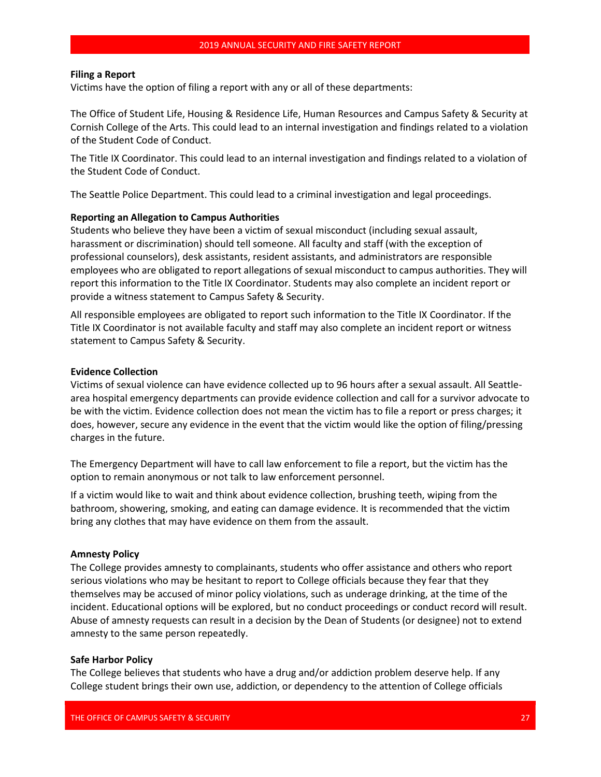### **Filing a Report**

Victims have the option of filing a report with any or all of these departments:

The Office of Student Life, Housing & Residence Life, Human Resources and Campus Safety & Security at Cornish College of the Arts. This could lead to an internal investigation and findings related to a violation of the Student Code of Conduct.

The Title IX Coordinator. This could lead to an internal investigation and findings related to a violation of the Student Code of Conduct.

The Seattle Police Department. This could lead to a criminal investigation and legal proceedings.

#### **Reporting an Allegation to Campus Authorities**

Students who believe they have been a victim of sexual misconduct (including sexual assault, harassment or discrimination) should tell someone. All faculty and staff (with the exception of professional counselors), desk assistants, resident assistants, and administrators are responsible employees who are obligated to report allegations of sexual misconduct to campus authorities. They will report this information to the Title IX Coordinator. Students may also complete an incident report or provide a witness statement to Campus Safety & Security.

All responsible employees are obligated to report such information to the Title IX Coordinator. If the Title IX Coordinator is not available faculty and staff may also complete an incident report or witness statement to Campus Safety & Security.

#### **Evidence Collection**

Victims of sexual violence can have evidence collected up to 96 hours after a sexual assault. All Seattlearea hospital emergency departments can provide evidence collection and call for a survivor advocate to be with the victim. Evidence collection does not mean the victim has to file a report or press charges; it does, however, secure any evidence in the event that the victim would like the option of filing/pressing charges in the future.

The Emergency Department will have to call law enforcement to file a report, but the victim has the option to remain anonymous or not talk to law enforcement personnel.

If a victim would like to wait and think about evidence collection, brushing teeth, wiping from the bathroom, showering, smoking, and eating can damage evidence. It is recommended that the victim bring any clothes that may have evidence on them from the assault.

#### **Amnesty Policy**

The College provides amnesty to complainants, students who offer assistance and others who report serious violations who may be hesitant to report to College officials because they fear that they themselves may be accused of minor policy violations, such as underage drinking, at the time of the incident. Educational options will be explored, but no conduct proceedings or conduct record will result. Abuse of amnesty requests can result in a decision by the Dean of Students (or designee) not to extend amnesty to the same person repeatedly.

#### **Safe Harbor Policy**

The College believes that students who have a drug and/or addiction problem deserve help. If any College student brings their own use, addiction, or dependency to the attention of College officials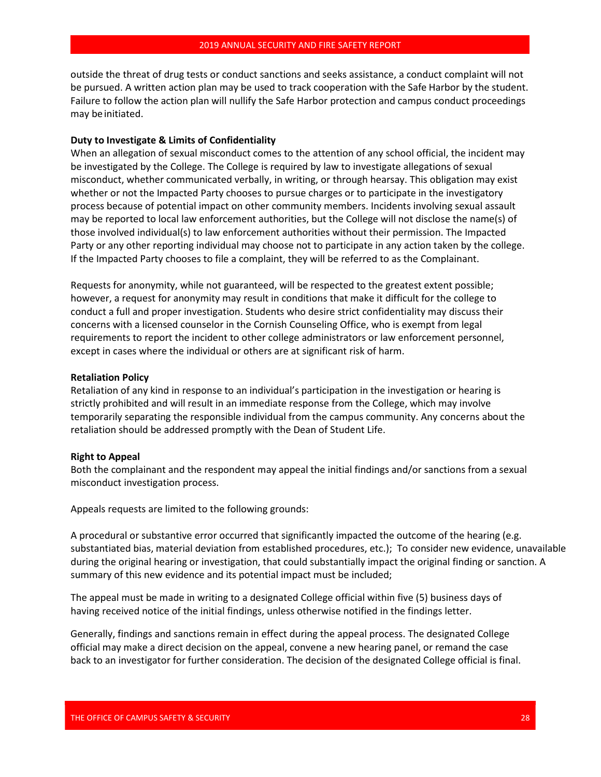outside the threat of drug tests or conduct sanctions and seeks assistance, a conduct complaint will not be pursued. A written action plan may be used to track cooperation with the Safe Harbor by the student. Failure to follow the action plan will nullify the Safe Harbor protection and campus conduct proceedings may be initiated.

### **Duty to Investigate & Limits of Confidentiality**

When an allegation of sexual misconduct comes to the attention of any school official, the incident may be investigated by the College. The College is required by law to investigate allegations of sexual misconduct, whether communicated verbally, in writing, or through hearsay. This obligation may exist whether or not the Impacted Party chooses to pursue charges or to participate in the investigatory process because of potential impact on other community members. Incidents involving sexual assault may be reported to local law enforcement authorities, but the College will not disclose the name(s) of those involved individual(s) to law enforcement authorities without their permission. The Impacted Party or any other reporting individual may choose not to participate in any action taken by the college. If the Impacted Party chooses to file a complaint, they will be referred to as the Complainant.

Requests for anonymity, while not guaranteed, will be respected to the greatest extent possible; however, a request for anonymity may result in conditions that make it difficult for the college to conduct a full and proper investigation. Students who desire strict confidentiality may discuss their concerns with a licensed counselor in the Cornish Counseling Office, who is exempt from legal requirements to report the incident to other college administrators or law enforcement personnel, except in cases where the individual or others are at significant risk of harm.

#### **Retaliation Policy**

Retaliation of any kind in response to an individual's participation in the investigation or hearing is strictly prohibited and will result in an immediate response from the College, which may involve temporarily separating the responsible individual from the campus community. Any concerns about the retaliation should be addressed promptly with the Dean of Student Life.

#### **Right to Appeal**

Both the complainant and the respondent may appeal the initial findings and/or sanctions from a sexual misconduct investigation process.

Appeals requests are limited to the following grounds:

A procedural or substantive error occurred that significantly impacted the outcome of the hearing (e.g. substantiated bias, material deviation from established procedures, etc.); To consider new evidence, unavailable during the original hearing or investigation, that could substantially impact the original finding or sanction. A summary of this new evidence and its potential impact must be included;

The appeal must be made in writing to a designated College official within five (5) business days of having received notice of the initial findings, unless otherwise notified in the findings letter.

Generally, findings and sanctions remain in effect during the appeal process. The designated College official may make a direct decision on the appeal, convene a new hearing panel, or remand the case back to an investigator for further consideration. The decision of the designated College official is final.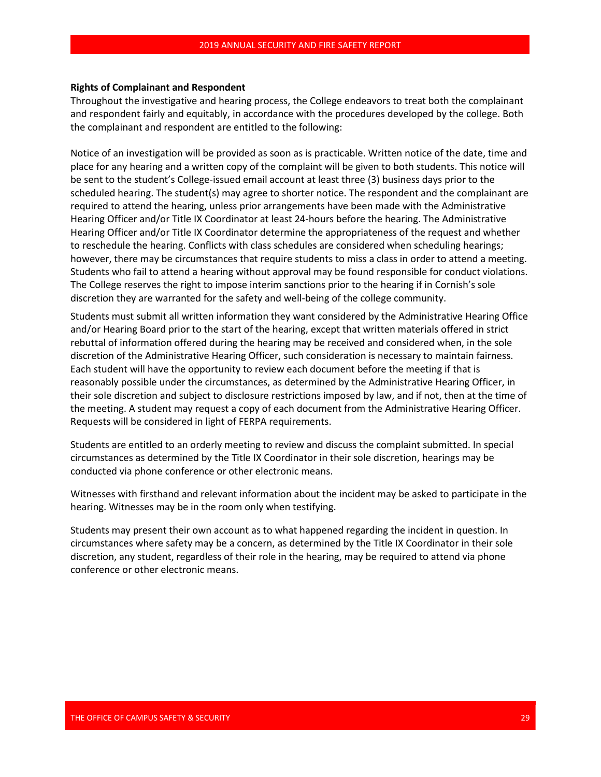#### **Rights of Complainant and Respondent**

Throughout the investigative and hearing process, the College endeavors to treat both the complainant and respondent fairly and equitably, in accordance with the procedures developed by the college. Both the complainant and respondent are entitled to the following:

Notice of an investigation will be provided as soon as is practicable. Written notice of the date, time and place for any hearing and a written copy of the complaint will be given to both students. This notice will be sent to the student's College-issued email account at least three (3) business days prior to the scheduled hearing. The student(s) may agree to shorter notice. The respondent and the complainant are required to attend the hearing, unless prior arrangements have been made with the Administrative Hearing Officer and/or Title IX Coordinator at least 24-hours before the hearing. The Administrative Hearing Officer and/or Title IX Coordinator determine the appropriateness of the request and whether to reschedule the hearing. Conflicts with class schedules are considered when scheduling hearings; however, there may be circumstances that require students to miss a class in order to attend a meeting. Students who fail to attend a hearing without approval may be found responsible for conduct violations. The College reserves the right to impose interim sanctions prior to the hearing if in Cornish's sole discretion they are warranted for the safety and well-being of the college community.

Students must submit all written information they want considered by the Administrative Hearing Office and/or Hearing Board prior to the start of the hearing, except that written materials offered in strict rebuttal of information offered during the hearing may be received and considered when, in the sole discretion of the Administrative Hearing Officer, such consideration is necessary to maintain fairness. Each student will have the opportunity to review each document before the meeting if that is reasonably possible under the circumstances, as determined by the Administrative Hearing Officer, in their sole discretion and subject to disclosure restrictions imposed by law, and if not, then at the time of the meeting. A student may request a copy of each document from the Administrative Hearing Officer. Requests will be considered in light of FERPA requirements.

Students are entitled to an orderly meeting to review and discuss the complaint submitted. In special circumstances as determined by the Title IX Coordinator in their sole discretion, hearings may be conducted via phone conference or other electronic means.

Witnesses with firsthand and relevant information about the incident may be asked to participate in the hearing. Witnesses may be in the room only when testifying.

Students may present their own account as to what happened regarding the incident in question. In circumstances where safety may be a concern, as determined by the Title IX Coordinator in their sole discretion, any student, regardless of their role in the hearing, may be required to attend via phone conference or other electronic means.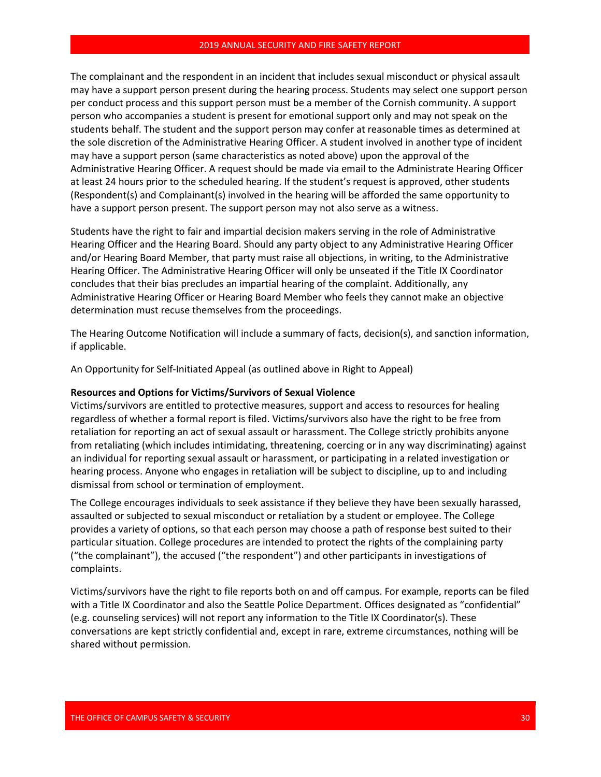The complainant and the respondent in an incident that includes sexual misconduct or physical assault may have a support person present during the hearing process. Students may select one support person per conduct process and this support person must be a member of the Cornish community. A support person who accompanies a student is present for emotional support only and may not speak on the students behalf. The student and the support person may confer at reasonable times as determined at the sole discretion of the Administrative Hearing Officer. A student involved in another type of incident may have a support person (same characteristics as noted above) upon the approval of the Administrative Hearing Officer. A request should be made via email to the Administrate Hearing Officer at least 24 hours prior to the scheduled hearing. If the student's request is approved, other students (Respondent(s) and Complainant(s) involved in the hearing will be afforded the same opportunity to have a support person present. The support person may not also serve as a witness.

Students have the right to fair and impartial decision makers serving in the role of Administrative Hearing Officer and the Hearing Board. Should any party object to any Administrative Hearing Officer and/or Hearing Board Member, that party must raise all objections, in writing, to the Administrative Hearing Officer. The Administrative Hearing Officer will only be unseated if the Title IX Coordinator concludes that their bias precludes an impartial hearing of the complaint. Additionally, any Administrative Hearing Officer or Hearing Board Member who feels they cannot make an objective determination must recuse themselves from the proceedings.

The Hearing Outcome Notification will include a summary of facts, decision(s), and sanction information, if applicable.

An Opportunity for Self-Initiated Appeal (as outlined above in Right to Appeal)

#### **Resources and Options for Victims/Survivors of Sexual Violence**

Victims/survivors are entitled to protective measures, support and access to resources for healing regardless of whether a formal report is filed. Victims/survivors also have the right to be free from retaliation for reporting an act of sexual assault or harassment. The College strictly prohibits anyone from retaliating (which includes intimidating, threatening, coercing or in any way discriminating) against an individual for reporting sexual assault or harassment, or participating in a related investigation or hearing process. Anyone who engages in retaliation will be subject to discipline, up to and including dismissal from school or termination of employment.

The College encourages individuals to seek assistance if they believe they have been sexually harassed, assaulted or subjected to sexual misconduct or retaliation by a student or employee. The College provides a variety of options, so that each person may choose a path of response best suited to their particular situation. College procedures are intended to protect the rights of the complaining party ("the complainant"), the accused ("the respondent") and other participants in investigations of complaints.

Victims/survivors have the right to file reports both on and off campus. For example, reports can be filed with a Title IX Coordinator and also the Seattle Police Department. Offices designated as "confidential" (e.g. counseling services) will not report any information to the Title IX Coordinator(s). These conversations are kept strictly confidential and, except in rare, extreme circumstances, nothing will be shared without permission.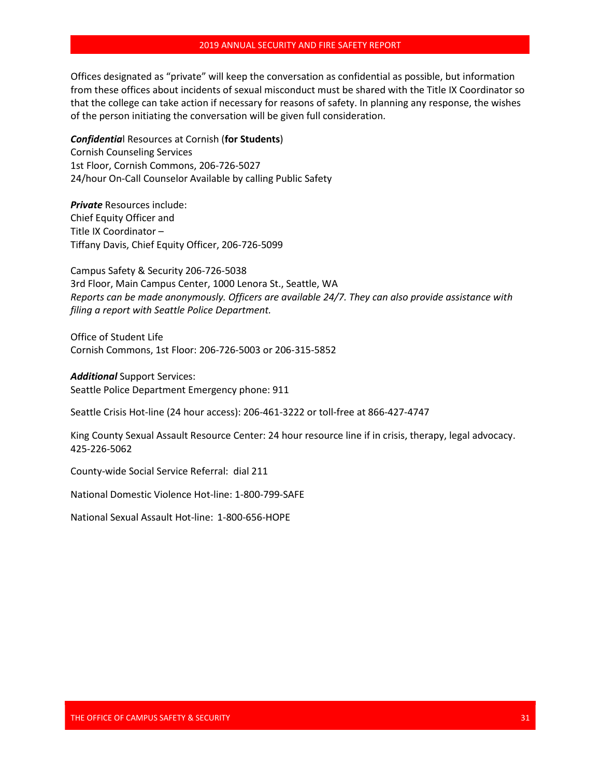Offices designated as "private" will keep the conversation as confidential as possible, but information from these offices about incidents of sexual misconduct must be shared with the Title IX Coordinator so that the college can take action if necessary for reasons of safety. In planning any response, the wishes of the person initiating the conversation will be given full consideration.

*Confidentia*l Resources at Cornish (**for Students**) Cornish Counseling Services 1st Floor, Cornish Commons, 206-726-5027 24/hour On-Call Counselor Available by calling Public Safety

*Private* Resources include: Chief Equity Officer and Title IX Coordinator – Tiffany Davis, Chief Equity Officer, 206-726-5099

Campus Safety & Security 206-726-5038 3rd Floor, Main Campus Center, 1000 Lenora St., Seattle, WA *Reports can be made anonymously. Officers are available 24/7. They can also provide assistance with filing a report with Seattle Police Department.*

Office of Student Life Cornish Commons, 1st Floor: 206-726-5003 or 206-315-5852

*Additional* Support Services: Seattle Police Department Emergency phone: 911

Seattle Crisis Hot-line (24 hour access): 206-461-3222 or toll-free at 866-427-4747

King County Sexual Assault Resource Center: 24 hour resource line if in crisis, therapy, legal advocacy. 425-226-5062

County-wide Social Service Referral: dial 211

National Domestic Violence Hot-line: 1-800-799-SAFE

National Sexual Assault Hot-line: 1-800-656-HOPE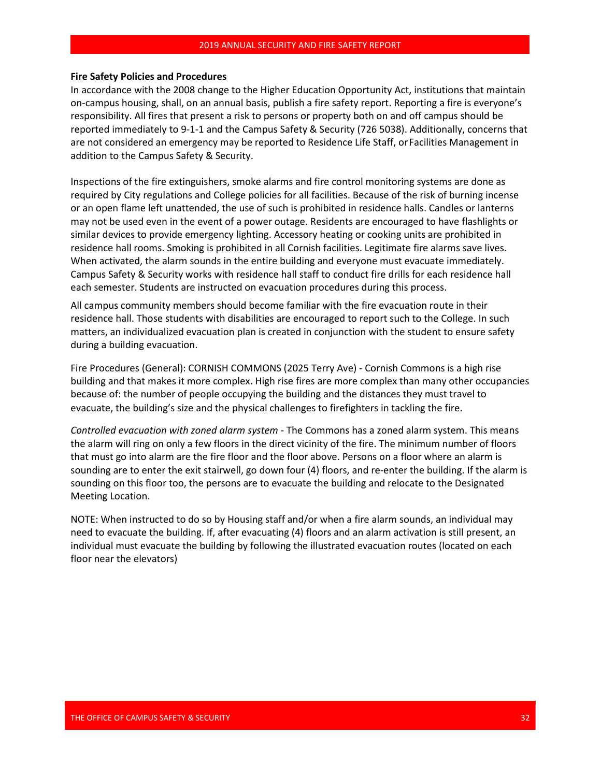#### **Fire Safety Policies and Procedures**

In accordance with the 2008 change to the Higher Education Opportunity Act, institutions that maintain on-campus housing, shall, on an annual basis, publish a fire safety report. Reporting a fire is everyone's responsibility. All fires that present a risk to persons or property both on and off campus should be reported immediately to 9-1-1 and the Campus Safety & Security (726 5038). Additionally, concerns that are not considered an emergency may be reported to Residence Life Staff, orFacilities Management in addition to the Campus Safety & Security.

Inspections of the fire extinguishers, smoke alarms and fire control monitoring systems are done as required by City regulations and College policies for all facilities. Because of the risk of burning incense or an open flame left unattended, the use of such is prohibited in residence halls. Candles or lanterns may not be used even in the event of a power outage. Residents are encouraged to have flashlights or similar devices to provide emergency lighting. Accessory heating or cooking units are prohibited in residence hall rooms. Smoking is prohibited in all Cornish facilities. Legitimate fire alarms save lives. When activated, the alarm sounds in the entire building and everyone must evacuate immediately. Campus Safety & Security works with residence hall staff to conduct fire drills for each residence hall each semester. Students are instructed on evacuation procedures during this process.

All campus community members should become familiar with the fire evacuation route in their residence hall. Those students with disabilities are encouraged to report such to the College. In such matters, an individualized evacuation plan is created in conjunction with the student to ensure safety during a building evacuation.

Fire Procedures (General): CORNISH COMMONS (2025 Terry Ave) - Cornish Commons is a high rise building and that makes it more complex. High rise fires are more complex than many other occupancies because of: the number of people occupying the building and the distances they must travel to evacuate, the building's size and the physical challenges to firefighters in tackling the fire.

*Controlled evacuation with zoned alarm system* - The Commons has a zoned alarm system. This means the alarm will ring on only a few floors in the direct vicinity of the fire. The minimum number of floors that must go into alarm are the fire floor and the floor above. Persons on a floor where an alarm is sounding are to enter the exit stairwell, go down four (4) floors, and re-enter the building. If the alarm is sounding on this floor too, the persons are to evacuate the building and relocate to the Designated Meeting Location.

NOTE: When instructed to do so by Housing staff and/or when a fire alarm sounds, an individual may need to evacuate the building. If, after evacuating (4) floors and an alarm activation is still present, an individual must evacuate the building by following the illustrated evacuation routes (located on each floor near the elevators)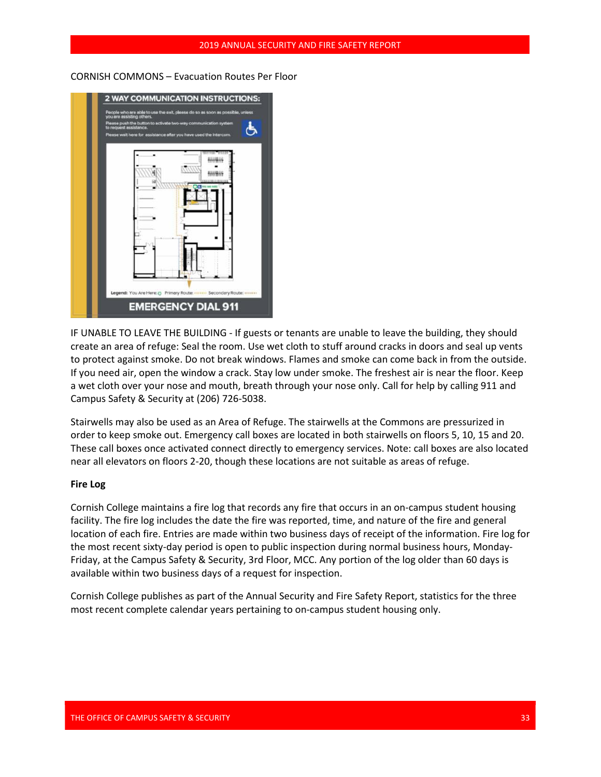CORNISH COMMONS – Evacuation Routes Per Floor



IF UNABLE TO LEAVE THE BUILDING - If guests or tenants are unable to leave the building, they should create an area of refuge: Seal the room. Use wet cloth to stuff around cracks in doors and seal up vents to protect against smoke. Do not break windows. Flames and smoke can come back in from the outside. If you need air, open the window a crack. Stay low under smoke. The freshest air is near the floor. Keep a wet cloth over your nose and mouth, breath through your nose only. Call for help by calling 911 and Campus Safety & Security at (206) 726-5038.

Stairwells may also be used as an Area of Refuge. The stairwells at the Commons are pressurized in order to keep smoke out. Emergency call boxes are located in both stairwells on floors 5, 10, 15 and 20. These call boxes once activated connect directly to emergency services. Note: call boxes are also located near all elevators on floors 2-20, though these locations are not suitable as areas of refuge.

# **Fire Log**

Cornish College maintains a fire log that records any fire that occurs in an on-campus student housing facility. The fire log includes the date the fire was reported, time, and nature of the fire and general location of each fire. Entries are made within two business days of receipt of the information. Fire log for the most recent sixty-day period is open to public inspection during normal business hours, Monday-Friday, at the Campus Safety & Security, 3rd Floor, MCC. Any portion of the log older than 60 days is available within two business days of a request for inspection.

Cornish College publishes as part of the Annual Security and Fire Safety Report, statistics for the three most recent complete calendar years pertaining to on-campus student housing only.